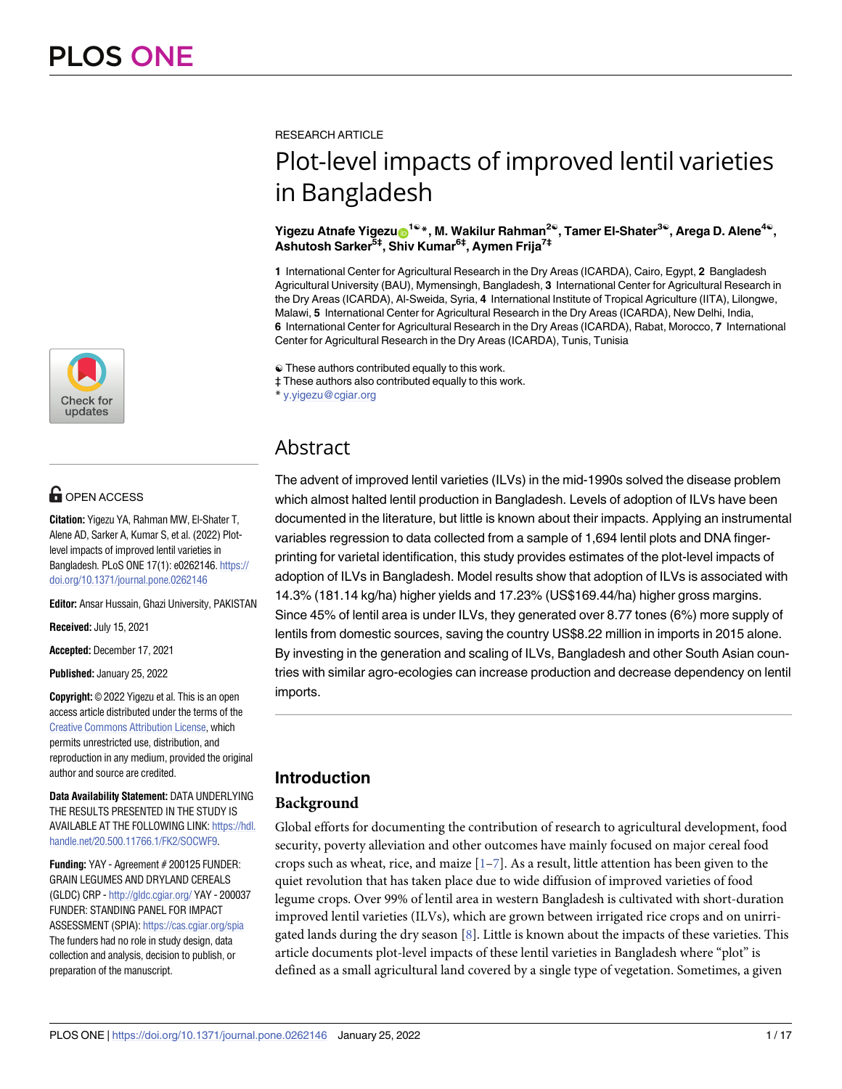

# **G** OPEN ACCESS

**Citation:** Yigezu YA, Rahman MW, El-Shater T, Alene AD, Sarker A, Kumar S, et al. (2022) Plotlevel impacts of improved lentil varieties in Bangladesh. PLoS ONE 17(1): e0262146. [https://](https://doi.org/10.1371/journal.pone.0262146) [doi.org/10.1371/journal.pone.0262146](https://doi.org/10.1371/journal.pone.0262146)

**Editor:** Ansar Hussain, Ghazi University, PAKISTAN

**Received:** July 15, 2021

**Accepted:** December 17, 2021

**Published:** January 25, 2022

**Copyright:** © 2022 Yigezu et al. This is an open access article distributed under the terms of the Creative Commons [Attribution](http://creativecommons.org/licenses/by/4.0/) License, which permits unrestricted use, distribution, and reproduction in any medium, provided the original author and source are credited.

**Data Availability Statement:** DATA UNDERLYING THE RESULTS PRESENTED IN THE STUDY IS AVAILABLE AT THE FOLLOWING LINK: [https://hdl.](https://hdl.handle.net/20.500.11766.1/FK2/SOCWF9) [handle.net/20.500.11766.1/FK2/SOCWF9.](https://hdl.handle.net/20.500.11766.1/FK2/SOCWF9)

**Funding:** YAY - Agreement # 200125 FUNDER: GRAIN LEGUMES AND DRYLAND CEREALS (GLDC) CRP - <http://gldc.cgiar.org/> YAY - 200037 FUNDER: STANDING PANEL FOR IMPACT ASSESSMENT (SPIA): <https://cas.cgiar.org/spia> The funders had no role in study design, data collection and analysis, decision to publish, or preparation of the manuscript.

<span id="page-0-0"></span>RESEARCH ARTICLE

# Plot-level impacts of improved lentil varieties in Bangladesh

 $X$ igezu Atnafe  $Y$ igezu $\mathbf{D}^{1\mathbb{Q}*}$ , M. Wakilur Rahman<sup>2®</sup>, Tamer El-Shater<sup>3®</sup>, Arega D. Alene<sup>4®</sup>, **Ashutosh Sarker5‡, Shiv Kumar6‡, Aymen Frija7‡**

**1** International Center for Agricultural Research in the Dry Areas (ICARDA), Cairo, Egypt, **2** Bangladesh Agricultural University (BAU), Mymensingh, Bangladesh, **3** International Center for Agricultural Research in the Dry Areas (ICARDA), Al-Sweida, Syria, **4** International Institute of Tropical Agriculture (IITA), Lilongwe, Malawi, **5** International Center for Agricultural Research in the Dry Areas (ICARDA), New Delhi, India, **6** International Center for Agricultural Research in the Dry Areas (ICARDA), Rabat, Morocco, **7** International Center for Agricultural Research in the Dry Areas (ICARDA), Tunis, Tunisia

☯ These authors contributed equally to this work.

‡ These authors also contributed equally to this work.

\* y.yigezu@cgiar.org

# Abstract

The advent of improved lentil varieties (ILVs) in the mid-1990s solved the disease problem which almost halted lentil production in Bangladesh. Levels of adoption of ILVs have been documented in the literature, but little is known about their impacts. Applying an instrumental variables regression to data collected from a sample of 1,694 lentil plots and DNA fingerprinting for varietal identification, this study provides estimates of the plot-level impacts of adoption of ILVs in Bangladesh. Model results show that adoption of ILVs is associated with 14.3% (181.14 kg/ha) higher yields and 17.23% (US\$169.44/ha) higher gross margins. Since 45% of lentil area is under ILVs, they generated over 8.77 tones (6%) more supply of lentils from domestic sources, saving the country US\$8.22 million in imports in 2015 alone. By investing in the generation and scaling of ILVs, Bangladesh and other South Asian countries with similar agro-ecologies can increase production and decrease dependency on lentil imports.

# **Introduction**

# **Background**

Global efforts for documenting the contribution of research to agricultural development, food security, poverty alleviation and other outcomes have mainly focused on major cereal food crops such as wheat, rice, and maize  $[1-7]$  $[1-7]$  $[1-7]$  $[1-7]$  $[1-7]$ . As a result, little attention has been given to the quiet revolution that has taken place due to wide diffusion of improved varieties of food legume crops. Over 99% of lentil area in western Bangladesh is cultivated with short-duration improved lentil varieties (ILVs), which are grown between irrigated rice crops and on unirrigated lands during the dry season [[8\]](#page-15-0). Little is known about the impacts of these varieties. This article documents plot-level impacts of these lentil varieties in Bangladesh where "plot" is defined as a small agricultural land covered by a single type of vegetation. Sometimes, a given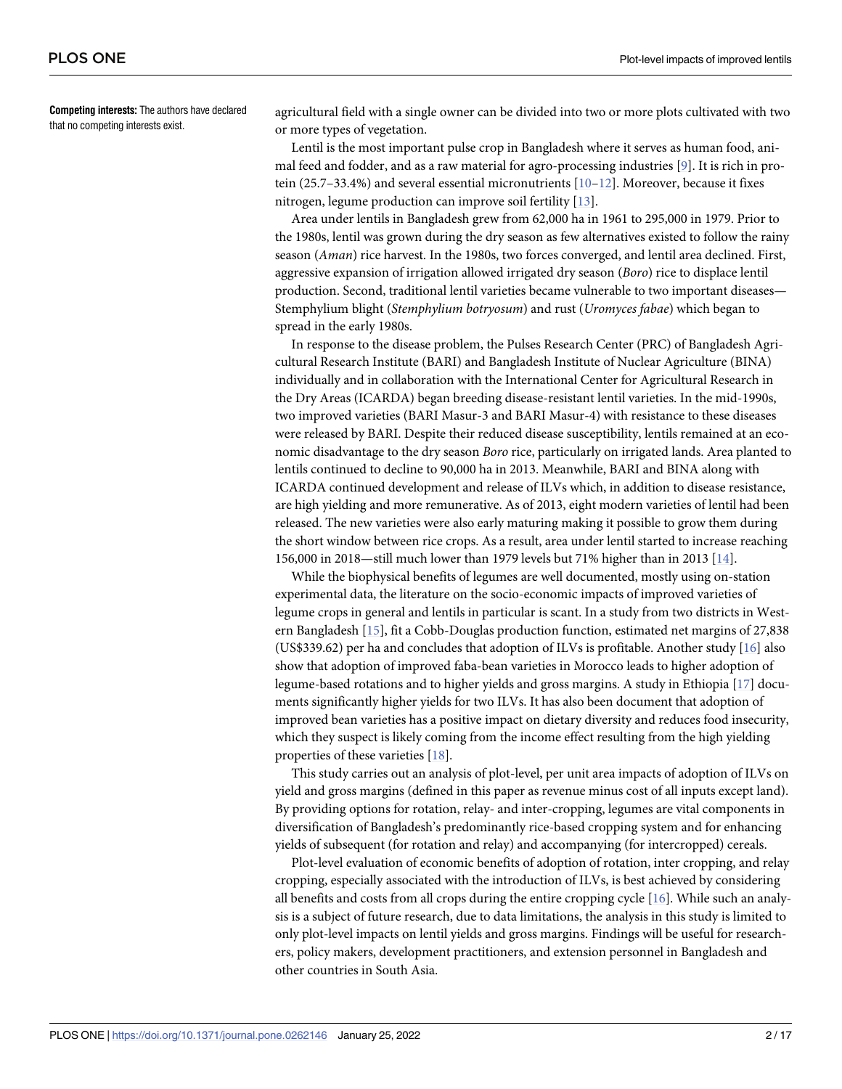<span id="page-1-0"></span>**Competing interests:** The authors have declared that no competing interests exist.

agricultural field with a single owner can be divided into two or more plots cultivated with two or more types of vegetation.

Lentil is the most important pulse crop in Bangladesh where it serves as human food, animal feed and fodder, and as a raw material for agro-processing industries [\[9](#page-15-0)]. It is rich in protein  $(25.7-33.4%)$  and several essential micronutrients  $[10-12]$ . Moreover, because it fixes nitrogen, legume production can improve soil fertility [\[13\]](#page-15-0).

Area under lentils in Bangladesh grew from 62,000 ha in 1961 to 295,000 in 1979. Prior to the 1980s, lentil was grown during the dry season as few alternatives existed to follow the rainy season (*Aman*) rice harvest. In the 1980s, two forces converged, and lentil area declined. First, aggressive expansion of irrigation allowed irrigated dry season (*Boro*) rice to displace lentil production. Second, traditional lentil varieties became vulnerable to two important diseases— Stemphylium blight (*Stemphylium botryosum*) and rust (*Uromyces fabae*) which began to spread in the early 1980s.

In response to the disease problem, the Pulses Research Center (PRC) of Bangladesh Agricultural Research Institute (BARI) and Bangladesh Institute of Nuclear Agriculture (BINA) individually and in collaboration with the International Center for Agricultural Research in the Dry Areas (ICARDA) began breeding disease-resistant lentil varieties. In the mid-1990s, two improved varieties (BARI Masur-3 and BARI Masur-4) with resistance to these diseases were released by BARI. Despite their reduced disease susceptibility, lentils remained at an economic disadvantage to the dry season *Boro* rice, particularly on irrigated lands. Area planted to lentils continued to decline to 90,000 ha in 2013. Meanwhile, BARI and BINA along with ICARDA continued development and release of ILVs which, in addition to disease resistance, are high yielding and more remunerative. As of 2013, eight modern varieties of lentil had been released. The new varieties were also early maturing making it possible to grow them during the short window between rice crops. As a result, area under lentil started to increase reaching 156,000 in 2018—still much lower than 1979 levels but 71% higher than in 2013 [\[14\]](#page-15-0).

While the biophysical benefits of legumes are well documented, mostly using on-station experimental data, the literature on the socio-economic impacts of improved varieties of legume crops in general and lentils in particular is scant. In a study from two districts in Western Bangladesh [[15](#page-15-0)], fit a Cobb-Douglas production function, estimated net margins of 27,838 (US\$339.62) per ha and concludes that adoption of ILVs is profitable. Another study [[16](#page-15-0)] also show that adoption of improved faba-bean varieties in Morocco leads to higher adoption of legume-based rotations and to higher yields and gross margins. A study in Ethiopia [\[17\]](#page-15-0) documents significantly higher yields for two ILVs. It has also been document that adoption of improved bean varieties has a positive impact on dietary diversity and reduces food insecurity, which they suspect is likely coming from the income effect resulting from the high yielding properties of these varieties [\[18\]](#page-15-0).

This study carries out an analysis of plot-level, per unit area impacts of adoption of ILVs on yield and gross margins (defined in this paper as revenue minus cost of all inputs except land). By providing options for rotation, relay- and inter-cropping, legumes are vital components in diversification of Bangladesh's predominantly rice-based cropping system and for enhancing yields of subsequent (for rotation and relay) and accompanying (for intercropped) cereals.

Plot-level evaluation of economic benefits of adoption of rotation, inter cropping, and relay cropping, especially associated with the introduction of ILVs, is best achieved by considering all benefits and costs from all crops during the entire cropping cycle [[16](#page-15-0)]. While such an analysis is a subject of future research, due to data limitations, the analysis in this study is limited to only plot-level impacts on lentil yields and gross margins. Findings will be useful for researchers, policy makers, development practitioners, and extension personnel in Bangladesh and other countries in South Asia.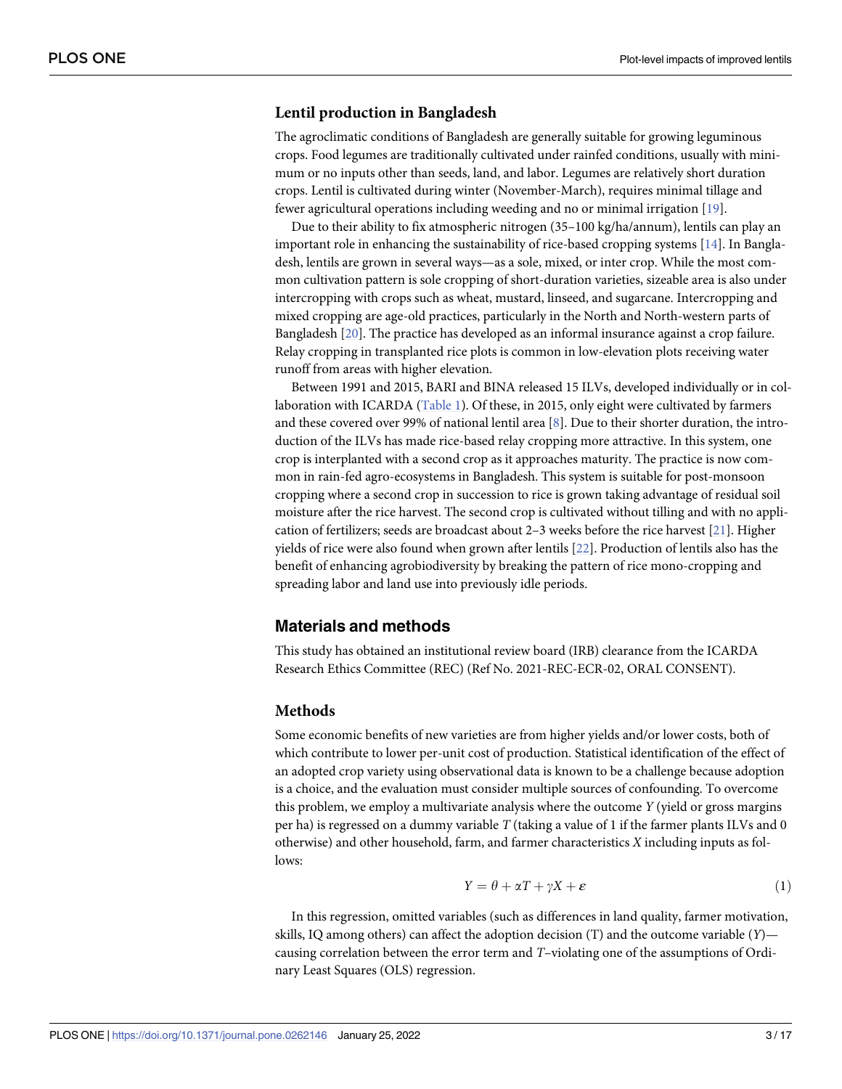#### <span id="page-2-0"></span>**Lentil production in Bangladesh**

The agroclimatic conditions of Bangladesh are generally suitable for growing leguminous crops. Food legumes are traditionally cultivated under rainfed conditions, usually with minimum or no inputs other than seeds, land, and labor. Legumes are relatively short duration crops. Lentil is cultivated during winter (November-March), requires minimal tillage and fewer agricultural operations including weeding and no or minimal irrigation [[19](#page-15-0)].

Due to their ability to fix atmospheric nitrogen (35–100 kg/ha/annum), lentils can play an important role in enhancing the sustainability of rice-based cropping systems [[14](#page-15-0)]. In Bangladesh, lentils are grown in several ways—as a sole, mixed, or inter crop. While the most common cultivation pattern is sole cropping of short-duration varieties, sizeable area is also under intercropping with crops such as wheat, mustard, linseed, and sugarcane. Intercropping and mixed cropping are age-old practices, particularly in the North and North-western parts of Bangladesh [\[20\]](#page-15-0). The practice has developed as an informal insurance against a crop failure. Relay cropping in transplanted rice plots is common in low-elevation plots receiving water runoff from areas with higher elevation.

Between 1991 and 2015, BARI and BINA released 15 ILVs, developed individually or in collaboration with ICARDA [\(Table](#page-3-0) 1). Of these, in 2015, only eight were cultivated by farmers and these covered over 99% of national lentil area [\[8](#page-15-0)]. Due to their shorter duration, the introduction of the ILVs has made rice-based relay cropping more attractive. In this system, one crop is interplanted with a second crop as it approaches maturity. The practice is now common in rain-fed agro-ecosystems in Bangladesh. This system is suitable for post-monsoon cropping where a second crop in succession to rice is grown taking advantage of residual soil moisture after the rice harvest. The second crop is cultivated without tilling and with no application of fertilizers; seeds are broadcast about 2–3 weeks before the rice harvest [[21](#page-15-0)]. Higher yields of rice were also found when grown after lentils [\[22\]](#page-15-0). Production of lentils also has the benefit of enhancing agrobiodiversity by breaking the pattern of rice mono-cropping and spreading labor and land use into previously idle periods.

### **Materials and methods**

This study has obtained an institutional review board (IRB) clearance from the ICARDA Research Ethics Committee (REC) (Ref No. 2021-REC-ECR-02, ORAL CONSENT).

#### **Methods**

Some economic benefits of new varieties are from higher yields and/or lower costs, both of which contribute to lower per-unit cost of production. Statistical identification of the effect of an adopted crop variety using observational data is known to be a challenge because adoption is a choice, and the evaluation must consider multiple sources of confounding. To overcome this problem, we employ a multivariate analysis where the outcome *Y* (yield or gross margins per ha) is regressed on a dummy variable *T* (taking a value of 1 if the farmer plants ILVs and 0 otherwise) and other household, farm, and farmer characteristics *X* including inputs as follows:

$$
Y = \theta + \alpha T + \gamma X + \varepsilon \tag{1}
$$

In this regression, omitted variables (such as differences in land quality, farmer motivation, skills, IQ among others) can affect the adoption decision (T) and the outcome variable (*Y*) causing correlation between the error term and *T*–violating one of the assumptions of Ordinary Least Squares (OLS) regression.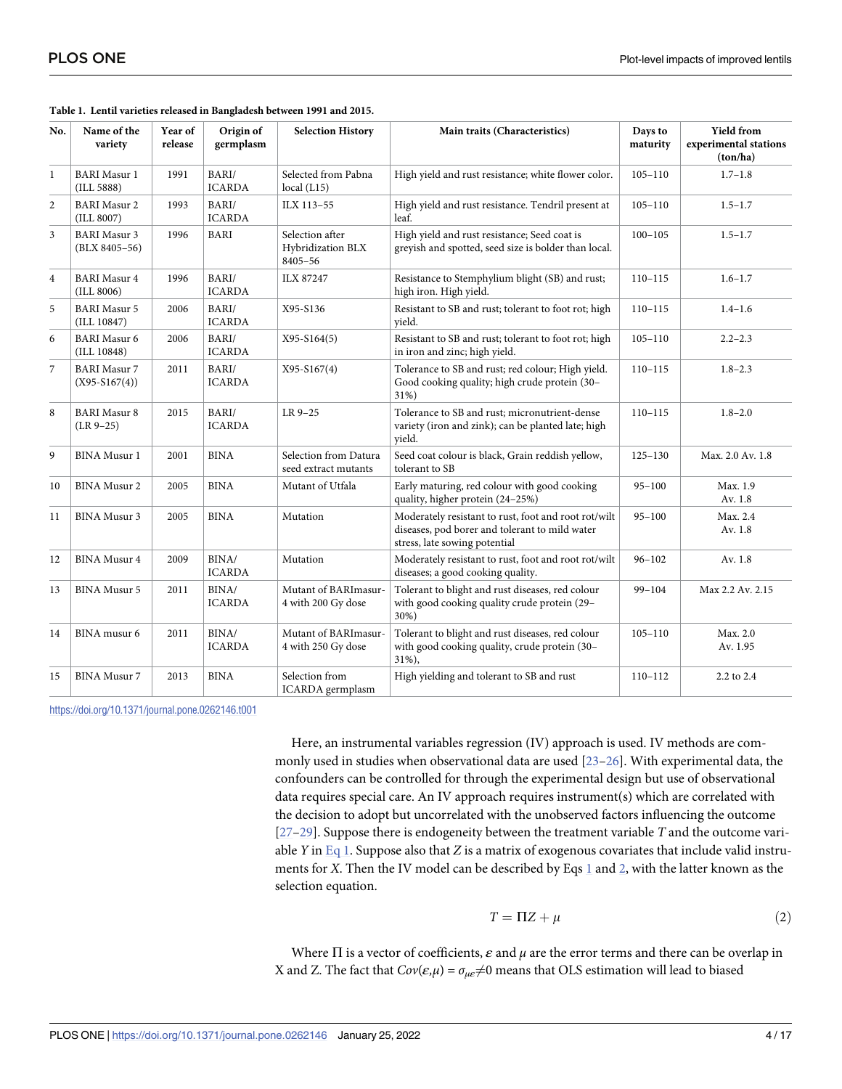| No.            | Name of the<br>variety                   | Year of<br>release | Origin of<br>germplasm | <b>Selection History</b>                        | Main traits (Characteristics)                                                                                                           | Days to<br>maturity | <b>Yield from</b><br>experimental stations<br>(ton/ha) |
|----------------|------------------------------------------|--------------------|------------------------|-------------------------------------------------|-----------------------------------------------------------------------------------------------------------------------------------------|---------------------|--------------------------------------------------------|
| $\mathbf{1}$   | <b>BARI</b> Masur 1<br>(ILL 5888)        | 1991               | BARI/<br><b>ICARDA</b> | Selected from Pabna<br>local (L15)              | High yield and rust resistance; white flower color.                                                                                     | $105 - 110$         | $1.7 - 1.8$                                            |
| 2              | <b>BARI</b> Masur 2<br>(ILL 8007)        | 1993               | BARI/<br><b>ICARDA</b> | ILX 113-55                                      | High yield and rust resistance. Tendril present at<br>leaf.                                                                             | $105 - 110$         | $1.5 - 1.7$                                            |
| 3              | <b>BARI</b> Masur 3<br>$(BLX 8405 - 56)$ | 1996               | <b>BARI</b>            | Selection after<br>Hybridization BLX<br>8405-56 | High yield and rust resistance; Seed coat is<br>greyish and spotted, seed size is bolder than local.                                    | $100 - 105$         | $1.5 - 1.7$                                            |
| $\overline{4}$ | <b>BARI</b> Masur 4<br>(ILL 8006)        | 1996               | BARI/<br><b>ICARDA</b> | <b>ILX 87247</b>                                | Resistance to Stemphylium blight (SB) and rust;<br>high iron. High yield.                                                               | $110 - 115$         | $1.6 - 1.7$                                            |
| 5              | <b>BARI</b> Masur 5<br>(ILL 10847)       | 2006               | BARI/<br><b>ICARDA</b> | X95-S136                                        | Resistant to SB and rust; tolerant to foot rot; high<br>vield.                                                                          | $110 - 115$         | $1.4 - 1.6$                                            |
| 6              | <b>BARI</b> Masur 6<br>(ILL 10848)       | 2006               | BARI/<br><b>ICARDA</b> | $X95-S164(5)$                                   | Resistant to SB and rust; tolerant to foot rot; high<br>in iron and zinc; high yield.                                                   | $105 - 110$         | $2.2 - 2.3$                                            |
| 7              | <b>BARI</b> Masur 7<br>$(X95-S167(4))$   | 2011               | BARI/<br><b>ICARDA</b> | X95-S167(4)                                     | Tolerance to SB and rust; red colour; High yield.<br>Good cooking quality; high crude protein (30-<br>31%)                              | $110 - 115$         | $1.8 - 2.3$                                            |
| 8              | <b>BARI</b> Masur 8<br>$(LR 9-25)$       | 2015               | BARI/<br><b>ICARDA</b> | LR 9-25                                         | Tolerance to SB and rust; micronutrient-dense<br>variety (iron and zink); can be planted late; high<br>vield.                           | $110 - 115$         | $1.8 - 2.0$                                            |
| 9              | <b>BINA</b> Musur 1                      | 2001               | <b>BINA</b>            | Selection from Datura<br>seed extract mutants   | Seed coat colour is black, Grain reddish yellow,<br>tolerant to SB                                                                      | $125 - 130$         | Max. 2.0 Av. 1.8                                       |
| 10             | <b>BINA</b> Musur 2                      | 2005               | <b>BINA</b>            | Mutant of Utfala                                | Early maturing, red colour with good cooking<br>quality, higher protein (24-25%)                                                        | $95 - 100$          | Max. 1.9<br>Av. 1.8                                    |
| 11             | BINA Musur 3                             | 2005               | <b>BINA</b>            | Mutation                                        | Moderately resistant to rust, foot and root rot/wilt<br>diseases, pod borer and tolerant to mild water<br>stress, late sowing potential | $95 - 100$          | Max. 2.4<br>Av. 1.8                                    |
| 12             | <b>BINA Musur 4</b>                      | 2009               | BINA/<br><b>ICARDA</b> | Mutation                                        | Moderately resistant to rust, foot and root rot/wilt<br>diseases; a good cooking quality.                                               | $96 - 102$          | Av. 1.8                                                |
| 13             | <b>BINA Musur 5</b>                      | 2011               | BINA/<br><b>ICARDA</b> | Mutant of BARImasur-<br>4 with 200 Gy dose      | Tolerant to blight and rust diseases, red colour<br>with good cooking quality crude protein (29-<br>30%)                                | $99 - 104$          | Max 2.2 Av. 2.15                                       |
| 14             | BINA musur 6                             | 2011               | BINA/<br><b>ICARDA</b> | Mutant of BARImasur-<br>4 with 250 Gy dose      | Tolerant to blight and rust diseases, red colour<br>with good cooking quality, crude protein (30-<br>$31\%$ ),                          | $105 - 110$         | Max. 2.0<br>Av. 1.95                                   |
| 15             | <b>BINA Musur 7</b>                      | 2013               | <b>BINA</b>            | Selection from<br>ICARDA germplasm              | High yielding and tolerant to SB and rust                                                                                               | $110 - 112$         | 2.2 to 2.4                                             |

#### <span id="page-3-0"></span>**[Table](#page-2-0) 1. Lentil varieties released in Bangladesh between 1991 and 2015.**

<https://doi.org/10.1371/journal.pone.0262146.t001>

Here, an instrumental variables regression (IV) approach is used. IV methods are commonly used in studies when observational data are used [\[23–](#page-15-0)[26](#page-16-0)]. With experimental data, the confounders can be controlled for through the experimental design but use of observational data requires special care. An IV approach requires instrument(s) which are correlated with the decision to adopt but uncorrelated with the unobserved factors influencing the outcome [\[27–29\]](#page-16-0). Suppose there is endogeneity between the treatment variable *T* and the outcome variable *Y* in [Eq](#page-2-0) 1. Suppose also that *Z* is a matrix of exogenous covariates that include valid instruments for *X*. Then the IV model can be described by Eqs [1](#page-2-0) and 2, with the latter known as the selection equation.

$$
T = \Pi Z + \mu \tag{2}
$$

Where  $\Pi$  is a vector of coefficients,  $\varepsilon$  and  $\mu$  are the error terms and there can be overlap in X and Z. The fact that  $Cov(\varepsilon,\mu) = \sigma_{\mu\varepsilon} \neq 0$  means that OLS estimation will lead to biased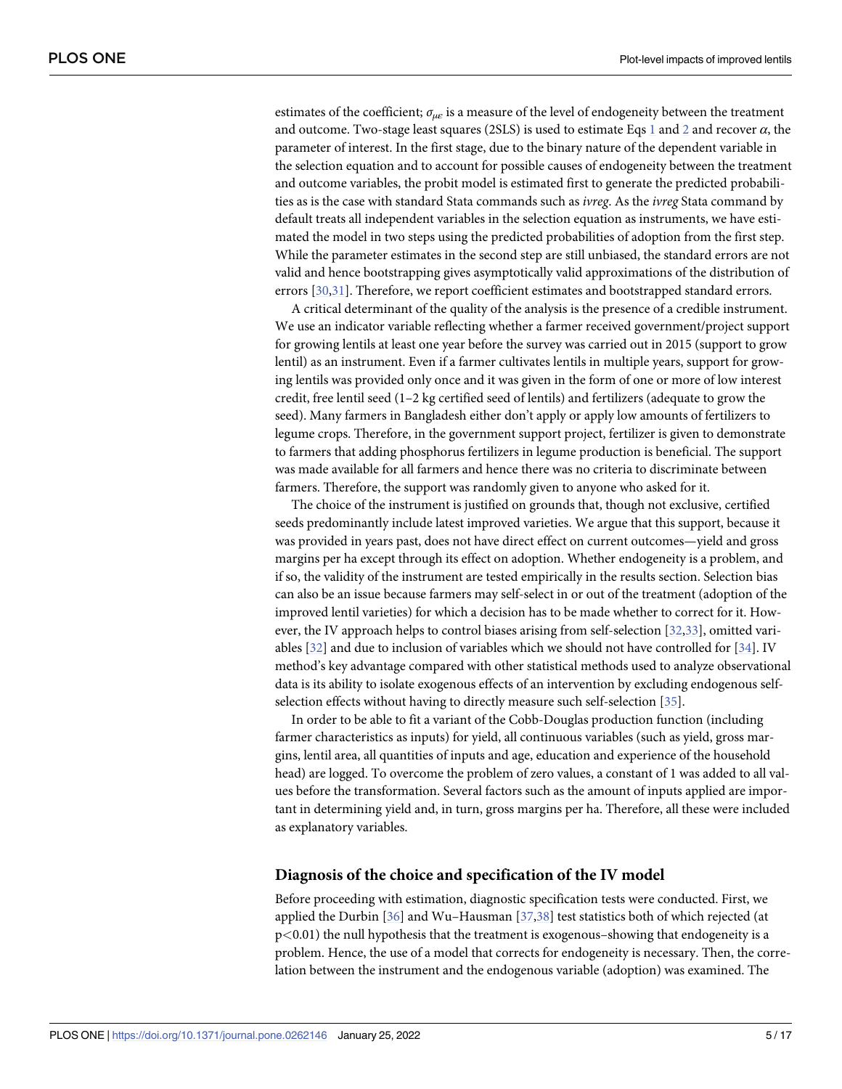<span id="page-4-0"></span>estimates of the coefficient; *σμ<sup>ε</sup>* is a measure of the level of endogeneity between the treatment and outcome. Two-stage least squares (2SLS) is used to estimate Eqs [1](#page-2-0) and [2](#page-3-0) and recover *α*, the parameter of interest. In the first stage, due to the binary nature of the dependent variable in the selection equation and to account for possible causes of endogeneity between the treatment and outcome variables, the probit model is estimated first to generate the predicted probabilities as is the case with standard Stata commands such as *ivreg*. As the *ivreg* Stata command by default treats all independent variables in the selection equation as instruments, we have estimated the model in two steps using the predicted probabilities of adoption from the first step. While the parameter estimates in the second step are still unbiased, the standard errors are not valid and hence bootstrapping gives asymptotically valid approximations of the distribution of errors [[30,31\]](#page-16-0). Therefore, we report coefficient estimates and bootstrapped standard errors.

A critical determinant of the quality of the analysis is the presence of a credible instrument. We use an indicator variable reflecting whether a farmer received government/project support for growing lentils at least one year before the survey was carried out in 2015 (support to grow lentil) as an instrument. Even if a farmer cultivates lentils in multiple years, support for growing lentils was provided only once and it was given in the form of one or more of low interest credit, free lentil seed  $(1-2 \text{ kg certified seed of lentils})$  and fertilizers (adequate to grow the seed). Many farmers in Bangladesh either don't apply or apply low amounts of fertilizers to legume crops. Therefore, in the government support project, fertilizer is given to demonstrate to farmers that adding phosphorus fertilizers in legume production is beneficial. The support was made available for all farmers and hence there was no criteria to discriminate between farmers. Therefore, the support was randomly given to anyone who asked for it.

The choice of the instrument is justified on grounds that, though not exclusive, certified seeds predominantly include latest improved varieties. We argue that this support, because it was provided in years past, does not have direct effect on current outcomes—yield and gross margins per ha except through its effect on adoption. Whether endogeneity is a problem, and if so, the validity of the instrument are tested empirically in the results section. Selection bias can also be an issue because farmers may self-select in or out of the treatment (adoption of the improved lentil varieties) for which a decision has to be made whether to correct for it. However, the IV approach helps to control biases arising from self-selection [[32](#page-16-0),[33](#page-16-0)], omitted variables [\[32\]](#page-16-0) and due to inclusion of variables which we should not have controlled for [\[34\]](#page-16-0). IV method's key advantage compared with other statistical methods used to analyze observational data is its ability to isolate exogenous effects of an intervention by excluding endogenous selfselection effects without having to directly measure such self-selection [\[35\]](#page-16-0).

In order to be able to fit a variant of the Cobb-Douglas production function (including farmer characteristics as inputs) for yield, all continuous variables (such as yield, gross margins, lentil area, all quantities of inputs and age, education and experience of the household head) are logged. To overcome the problem of zero values, a constant of 1 was added to all values before the transformation. Several factors such as the amount of inputs applied are important in determining yield and, in turn, gross margins per ha. Therefore, all these were included as explanatory variables.

#### **Diagnosis of the choice and specification of the IV model**

Before proceeding with estimation, diagnostic specification tests were conducted. First, we applied the Durbin [\[36\]](#page-16-0) and Wu–Hausman [\[37,38\]](#page-16-0) test statistics both of which rejected (at p*<*0.01) the null hypothesis that the treatment is exogenous–showing that endogeneity is a problem. Hence, the use of a model that corrects for endogeneity is necessary. Then, the correlation between the instrument and the endogenous variable (adoption) was examined. The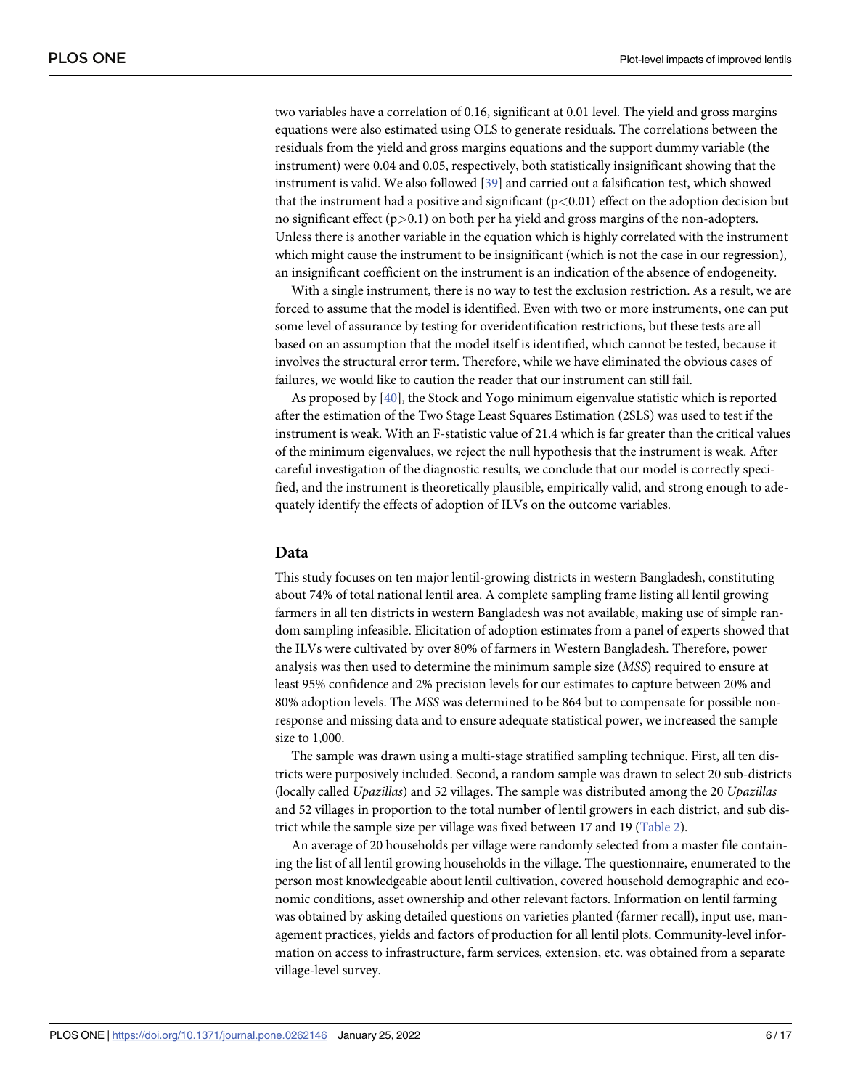<span id="page-5-0"></span>two variables have a correlation of 0.16, significant at 0.01 level. The yield and gross margins equations were also estimated using OLS to generate residuals. The correlations between the residuals from the yield and gross margins equations and the support dummy variable (the instrument) were 0.04 and 0.05, respectively, both statistically insignificant showing that the instrument is valid. We also followed [[39](#page-16-0)] and carried out a falsification test, which showed that the instrument had a positive and significant (p*<*0.01) effect on the adoption decision but no significant effect (p*>*0.1) on both per ha yield and gross margins of the non-adopters. Unless there is another variable in the equation which is highly correlated with the instrument which might cause the instrument to be insignificant (which is not the case in our regression), an insignificant coefficient on the instrument is an indication of the absence of endogeneity.

With a single instrument, there is no way to test the exclusion restriction. As a result, we are forced to assume that the model is identified. Even with two or more instruments, one can put some level of assurance by testing for overidentification restrictions, but these tests are all based on an assumption that the model itself is identified, which cannot be tested, because it involves the structural error term. Therefore, while we have eliminated the obvious cases of failures, we would like to caution the reader that our instrument can still fail.

As proposed by [\[40\]](#page-16-0), the Stock and Yogo minimum eigenvalue statistic which is reported after the estimation of the Two Stage Least Squares Estimation (2SLS) was used to test if the instrument is weak. With an F-statistic value of 21.4 which is far greater than the critical values of the minimum eigenvalues, we reject the null hypothesis that the instrument is weak. After careful investigation of the diagnostic results, we conclude that our model is correctly specified, and the instrument is theoretically plausible, empirically valid, and strong enough to adequately identify the effects of adoption of ILVs on the outcome variables.

#### **Data**

This study focuses on ten major lentil-growing districts in western Bangladesh, constituting about 74% of total national lentil area. A complete sampling frame listing all lentil growing farmers in all ten districts in western Bangladesh was not available, making use of simple random sampling infeasible. Elicitation of adoption estimates from a panel of experts showed that the ILVs were cultivated by over 80% of farmers in Western Bangladesh. Therefore, power analysis was then used to determine the minimum sample size (*MSS*) required to ensure at least 95% confidence and 2% precision levels for our estimates to capture between 20% and 80% adoption levels. The *MSS* was determined to be 864 but to compensate for possible nonresponse and missing data and to ensure adequate statistical power, we increased the sample size to 1,000.

The sample was drawn using a multi-stage stratified sampling technique. First, all ten districts were purposively included. Second, a random sample was drawn to select 20 sub-districts (locally called *Upazillas*) and 52 villages. The sample was distributed among the 20 *Upazillas* and 52 villages in proportion to the total number of lentil growers in each district, and sub district while the sample size per village was fixed between 17 and 19 [\(Table](#page-6-0) 2).

An average of 20 households per village were randomly selected from a master file containing the list of all lentil growing households in the village. The questionnaire, enumerated to the person most knowledgeable about lentil cultivation, covered household demographic and economic conditions, asset ownership and other relevant factors. Information on lentil farming was obtained by asking detailed questions on varieties planted (farmer recall), input use, management practices, yields and factors of production for all lentil plots. Community-level information on access to infrastructure, farm services, extension, etc. was obtained from a separate village-level survey.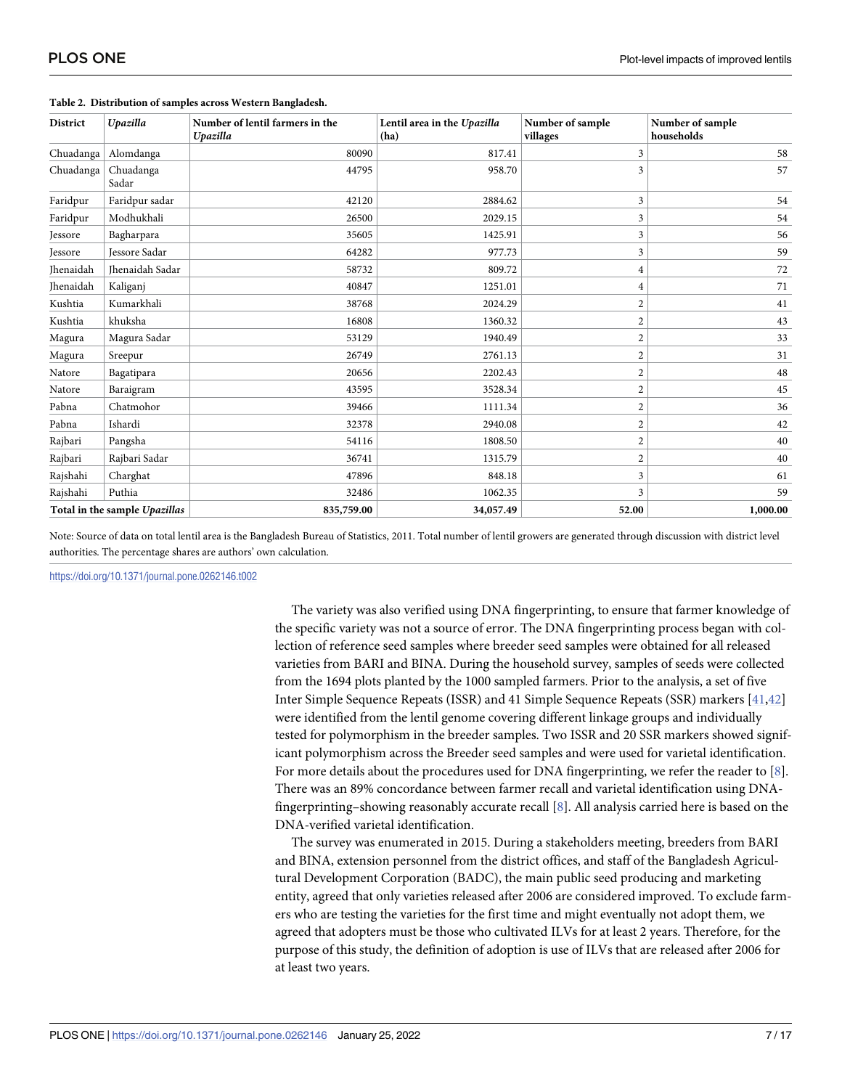| <b>District</b>               | Upazilla           | Number of lentil farmers in the<br>Upazilla | Lentil area in the Upazilla<br>(ha) | Number of sample<br>villages | Number of sample<br>households |
|-------------------------------|--------------------|---------------------------------------------|-------------------------------------|------------------------------|--------------------------------|
| Chuadanga                     | Alomdanga          | 80090                                       | 817.41                              | 3                            | 58                             |
| Chuadanga                     | Chuadanga<br>Sadar | 44795                                       | 958.70                              | 3                            | 57                             |
| Faridpur                      | Faridpur sadar     | 42120                                       | 2884.62                             | 3                            | 54                             |
| Faridpur                      | Modhukhali         | 26500                                       | 2029.15                             | 3                            | 54                             |
| <b>Jessore</b>                | Bagharpara         | 35605                                       | 1425.91                             | 3                            | 56                             |
| <b>Jessore</b>                | Jessore Sadar      | 64282                                       | 977.73                              | 3                            | 59                             |
| Jhenaidah                     | Ihenaidah Sadar    | 58732                                       | 809.72                              | $\overline{4}$               | 72                             |
| <b>Ihenaidah</b>              | Kaliganj           | 40847                                       | 1251.01                             | $\overline{4}$               | 71                             |
| Kushtia                       | Kumarkhali         | 38768                                       | 2024.29                             | $\overline{2}$               | 41                             |
| Kushtia                       | khuksha            | 16808                                       | 1360.32                             | $\sqrt{2}$                   | 43                             |
| Magura                        | Magura Sadar       | 53129                                       | 1940.49                             | $\overline{2}$               | 33                             |
| Magura                        | Sreepur            | 26749                                       | 2761.13                             | $\overline{2}$               | 31                             |
| Natore                        | Bagatipara         | 20656                                       | 2202.43                             | $\sqrt{2}$                   | 48                             |
| Natore                        | Baraigram          | 43595                                       | 3528.34                             | 2                            | 45                             |
| Pabna                         | Chatmohor          | 39466                                       | 1111.34                             | $\overline{2}$               | 36                             |
| Pabna                         | Ishardi            | 32378                                       | 2940.08                             | $\overline{2}$               | 42                             |
| Rajbari                       | Pangsha            | 54116                                       | 1808.50                             | $\overline{2}$               | 40                             |
| Rajbari                       | Rajbari Sadar      | 36741                                       | 1315.79                             | $\overline{2}$               | 40                             |
| Rajshahi                      | Charghat           | 47896                                       | 848.18                              | 3                            | 61                             |
| Rajshahi                      | Puthia             | 32486                                       | 1062.35                             | 3                            | 59                             |
| Total in the sample Upazillas |                    | 835,759.00                                  | 34,057.49                           | 52.00                        | 1,000.00                       |

#### <span id="page-6-0"></span>**[Table](#page-13-0) 2. Distribution of samples across Western Bangladesh.**

Note: Source of data on total lentil area is the Bangladesh Bureau of Statistics, 2011. Total number of lentil growers are generated through discussion with district level authorities. The percentage shares are authors' own calculation.

<https://doi.org/10.1371/journal.pone.0262146.t002>

The variety was also verified using DNA fingerprinting, to ensure that farmer knowledge of the specific variety was not a source of error. The DNA fingerprinting process began with collection of reference seed samples where breeder seed samples were obtained for all released varieties from BARI and BINA. During the household survey, samples of seeds were collected from the 1694 plots planted by the 1000 sampled farmers. Prior to the analysis, a set of five Inter Simple Sequence Repeats (ISSR) and 41 Simple Sequence Repeats (SSR) markers [\[41,42](#page-16-0)] were identified from the lentil genome covering different linkage groups and individually tested for polymorphism in the breeder samples. Two ISSR and 20 SSR markers showed significant polymorphism across the Breeder seed samples and were used for varietal identification. For more details about the procedures used for DNA fingerprinting, we refer the reader to [\[8](#page-15-0)]. There was an 89% concordance between farmer recall and varietal identification using DNAfingerprinting–showing reasonably accurate recall [\[8\]](#page-15-0). All analysis carried here is based on the DNA-verified varietal identification.

The survey was enumerated in 2015. During a stakeholders meeting, breeders from BARI and BINA, extension personnel from the district offices, and staff of the Bangladesh Agricultural Development Corporation (BADC), the main public seed producing and marketing entity, agreed that only varieties released after 2006 are considered improved. To exclude farmers who are testing the varieties for the first time and might eventually not adopt them, we agreed that adopters must be those who cultivated ILVs for at least 2 years. Therefore, for the purpose of this study, the definition of adoption is use of ILVs that are released after 2006 for at least two years.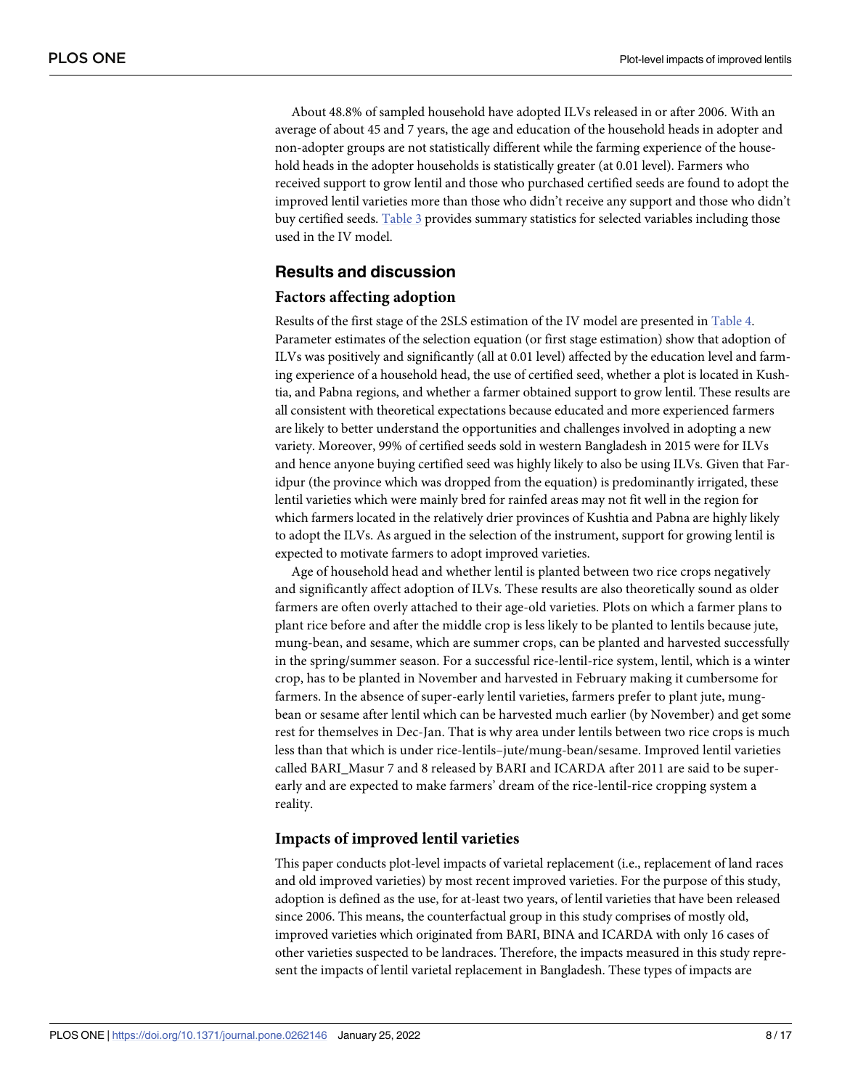<span id="page-7-0"></span>About 48.8% of sampled household have adopted ILVs released in or after 2006. With an average of about 45 and 7 years, the age and education of the household heads in adopter and non-adopter groups are not statistically different while the farming experience of the household heads in the adopter households is statistically greater (at 0.01 level). Farmers who received support to grow lentil and those who purchased certified seeds are found to adopt the improved lentil varieties more than those who didn't receive any support and those who didn't buy certified seeds. [Table](#page-8-0) 3 provides summary statistics for selected variables including those used in the IV model.

# **Results and discussion**

#### **Factors affecting adoption**

Results of the first stage of the 2SLS estimation of the IV model are presented in [Table](#page-9-0) 4. Parameter estimates of the selection equation (or first stage estimation) show that adoption of ILVs was positively and significantly (all at 0.01 level) affected by the education level and farming experience of a household head, the use of certified seed, whether a plot is located in Kushtia, and Pabna regions, and whether a farmer obtained support to grow lentil. These results are all consistent with theoretical expectations because educated and more experienced farmers are likely to better understand the opportunities and challenges involved in adopting a new variety. Moreover, 99% of certified seeds sold in western Bangladesh in 2015 were for ILVs and hence anyone buying certified seed was highly likely to also be using ILVs. Given that Faridpur (the province which was dropped from the equation) is predominantly irrigated, these lentil varieties which were mainly bred for rainfed areas may not fit well in the region for which farmers located in the relatively drier provinces of Kushtia and Pabna are highly likely to adopt the ILVs. As argued in the selection of the instrument, support for growing lentil is expected to motivate farmers to adopt improved varieties.

Age of household head and whether lentil is planted between two rice crops negatively and significantly affect adoption of ILVs. These results are also theoretically sound as older farmers are often overly attached to their age-old varieties. Plots on which a farmer plans to plant rice before and after the middle crop is less likely to be planted to lentils because jute, mung-bean, and sesame, which are summer crops, can be planted and harvested successfully in the spring/summer season. For a successful rice-lentil-rice system, lentil, which is a winter crop, has to be planted in November and harvested in February making it cumbersome for farmers. In the absence of super-early lentil varieties, farmers prefer to plant jute, mungbean or sesame after lentil which can be harvested much earlier (by November) and get some rest for themselves in Dec-Jan. That is why area under lentils between two rice crops is much less than that which is under rice-lentils–jute/mung-bean/sesame. Improved lentil varieties called BARI\_Masur 7 and 8 released by BARI and ICARDA after 2011 are said to be superearly and are expected to make farmers' dream of the rice-lentil-rice cropping system a reality.

#### **Impacts of improved lentil varieties**

This paper conducts plot-level impacts of varietal replacement (i.e., replacement of land races and old improved varieties) by most recent improved varieties. For the purpose of this study, adoption is defined as the use, for at-least two years, of lentil varieties that have been released since 2006. This means, the counterfactual group in this study comprises of mostly old, improved varieties which originated from BARI, BINA and ICARDA with only 16 cases of other varieties suspected to be landraces. Therefore, the impacts measured in this study represent the impacts of lentil varietal replacement in Bangladesh. These types of impacts are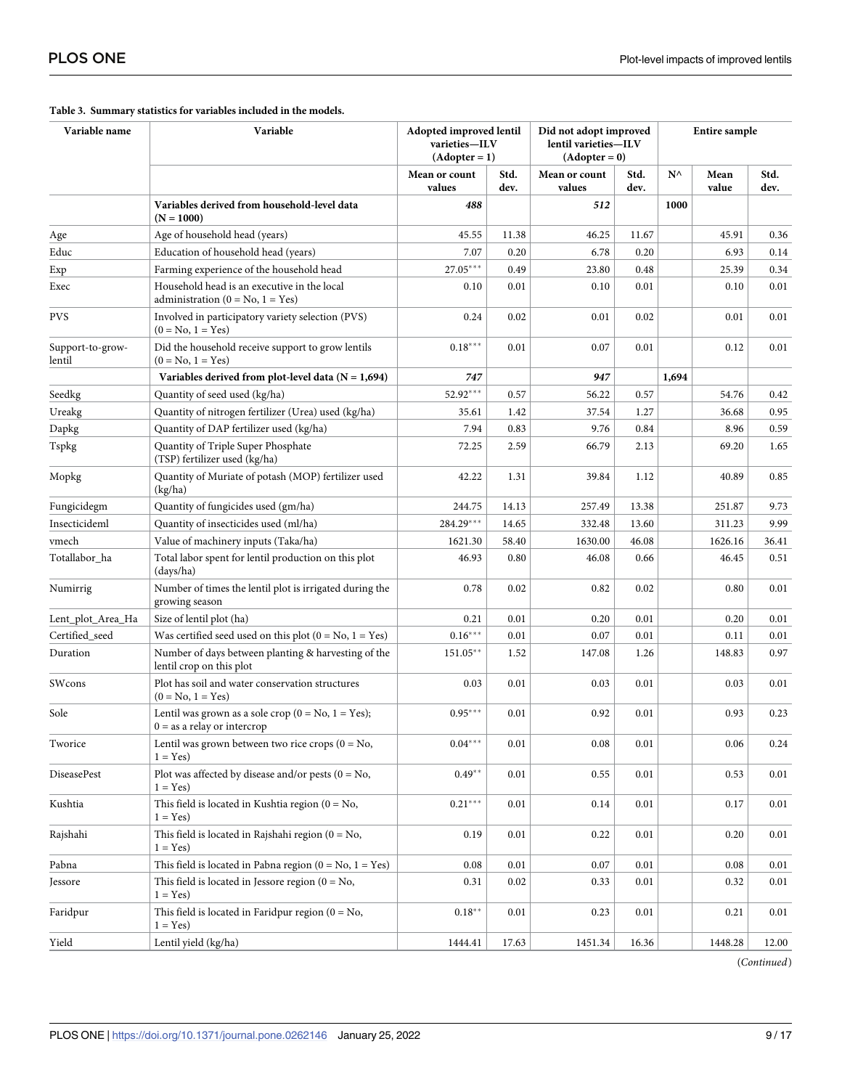| Variable name              | Variable                                                                                   | Adopted improved lentil<br>varieties-ILV<br>$(Adopter = 1)$ |              | Did not adopt improved<br>lentil varieties-ILV<br>$(Adopter = 0)$ |              | <b>Entire sample</b> |               |              |  |
|----------------------------|--------------------------------------------------------------------------------------------|-------------------------------------------------------------|--------------|-------------------------------------------------------------------|--------------|----------------------|---------------|--------------|--|
|                            |                                                                                            | Mean or count<br>values                                     | Std.<br>dev. | Mean or count<br>values                                           | Std.<br>dev. | $N^{\wedge}$         | Mean<br>value | Std.<br>dev. |  |
|                            | Variables derived from household-level data<br>$(N = 1000)$                                | 488                                                         |              | 512                                                               |              | 1000                 |               |              |  |
| Age                        | Age of household head (years)                                                              | 45.55                                                       | 11.38        | 46.25                                                             | 11.67        |                      | 45.91         | 0.36         |  |
| Educ                       | Education of household head (years)                                                        | 7.07                                                        | 0.20         | 6.78                                                              | 0.20         |                      | 6.93          | 0.14         |  |
| Exp                        | Farming experience of the household head                                                   | 27.05***                                                    | 0.49         | 23.80                                                             | 0.48         |                      | 25.39         | 0.34         |  |
| Exec                       | Household head is an executive in the local<br>administration ( $0 = No$ , $1 = Yes$ )     | 0.10                                                        | 0.01         | 0.10                                                              | 0.01         |                      | 0.10          | 0.01         |  |
| PVS                        | Involved in participatory variety selection (PVS)<br>$(0 = No, 1 = Yes)$                   | 0.24                                                        | 0.02         | 0.01                                                              | 0.02         |                      | 0.01          | 0.01         |  |
| Support-to-grow-<br>lentil | Did the household receive support to grow lentils<br>$(0 = No, 1 = Yes)$                   | $0.18***$                                                   | 0.01         | 0.07                                                              | 0.01         |                      | 0.12          | 0.01         |  |
|                            | Variables derived from plot-level data ( $N = 1,694$ )                                     | 747                                                         |              | 947                                                               |              | 1,694                |               |              |  |
| Seedkg                     | Quantity of seed used (kg/ha)                                                              | 52.92***                                                    | 0.57         | 56.22                                                             | 0.57         |                      | 54.76         | 0.42         |  |
| Ureakg                     | Quantity of nitrogen fertilizer (Urea) used (kg/ha)                                        | 35.61                                                       | 1.42         | 37.54                                                             | 1.27         |                      | 36.68         | 0.95         |  |
| Dapkg                      | Quantity of DAP fertilizer used (kg/ha)                                                    | 7.94                                                        | 0.83         | 9.76                                                              | 0.84         |                      | 8.96          | 0.59         |  |
| Tspkg                      | Quantity of Triple Super Phosphate<br>(TSP) fertilizer used (kg/ha)                        | 72.25                                                       | 2.59         | 66.79                                                             | 2.13         |                      | 69.20         | 1.65         |  |
| Mopkg                      | Quantity of Muriate of potash (MOP) fertilizer used<br>(kg/ha)                             | 1.31<br>39.84<br>42.22                                      |              | 1.12                                                              |              | 40.89                | 0.85          |              |  |
| Fungicidegm                | Quantity of fungicides used (gm/ha)                                                        | 244.75                                                      | 14.13        | 257.49                                                            | 13.38        |                      | 251.87        | 9.73         |  |
| Insecticideml              | Quantity of insecticides used (ml/ha)                                                      | 284.29***                                                   | 14.65        | 332.48                                                            | 13.60        |                      | 311.23        | 9.99         |  |
| vmech                      | Value of machinery inputs (Taka/ha)                                                        | 1621.30                                                     | 58.40        | 1630.00                                                           | 46.08        |                      | 1626.16       | 36.41        |  |
| Totallabor ha              | Total labor spent for lentil production on this plot<br>(days/ha)                          | 46.93                                                       | 0.80         | 46.08                                                             | 0.66         |                      | 46.45         | 0.51         |  |
| Numirrig                   | Number of times the lentil plot is irrigated during the<br>growing season                  | 0.78<br>0.02<br>0.82                                        |              | 0.02                                                              |              | 0.80                 | 0.01          |              |  |
| Lent_plot_Area_Ha          | Size of lentil plot (ha)                                                                   | 0.21                                                        | 0.01         | 0.20                                                              | 0.01         |                      | 0.20          | 0.01         |  |
| Certified_seed             | Was certified seed used on this plot $(0 = No, 1 = Yes)$                                   | $0.16***$                                                   | 0.01         | 0.07                                                              | 0.01         |                      | 0.11          | 0.01         |  |
| Duration                   | Number of days between planting & harvesting of the<br>lentil crop on this plot            | $151.05***$                                                 | 1.52         | 147.08                                                            | 1.26         |                      | 148.83        | 0.97         |  |
| SWcons                     | Plot has soil and water conservation structures<br>$(0 = No, 1 = Yes)$                     | 0.03                                                        | 0.01         | 0.03                                                              | 0.01         |                      | 0.03          | 0.01         |  |
| Sole                       | Lentil was grown as a sole crop ( $0 = No$ , $1 = Yes$ );<br>$0 =$ as a relay or intercrop | $0.95***$                                                   | 0.01         | 0.92                                                              | 0.01         |                      | 0.93          | 0.23         |  |
| Tworice                    | Lentil was grown between two rice crops $(0 = No,$<br>$1 = Yes$                            | $0.04***$                                                   | $0.01\,$     | $\rm 0.08$                                                        | $0.01\,$     |                      | $0.06\,$      | $0.24\,$     |  |
| DiseasePest                | Plot was affected by disease and/or pests $(0 = No,$<br>$1 = Yes$                          | $0.49**$                                                    | 0.01         | 0.55                                                              | 0.01         |                      | 0.53          | 0.01         |  |
| Kushtia                    | This field is located in Kushtia region $(0 = No,$<br>$1 = Yes$                            | $0.21***$                                                   | 0.01         | 0.14                                                              | 0.01         |                      | 0.17          | 0.01         |  |
| Rajshahi                   | This field is located in Rajshahi region ( $0 = No$ ,<br>$1 = Yes$                         | 0.19                                                        | 0.01         | 0.22                                                              | 0.01         |                      | 0.20          | 0.01         |  |
| Pabna                      | This field is located in Pabna region ( $0 = No$ , $1 = Yes$ )                             | 0.08                                                        | 0.01         | 0.07                                                              | 0.01         |                      | 0.08          | 0.01         |  |
| Jessore                    | This field is located in Jessore region $(0 = No,$<br>$1 = Yes$                            | 0.31                                                        | 0.02         | 0.33                                                              | 0.01         |                      | 0.32          | 0.01         |  |
| Faridpur                   | This field is located in Faridpur region $(0 = No,$<br>$1 = Yes$                           | $0.18**$                                                    | 0.01         | 0.23                                                              | 0.01         |                      | 0.21          | 0.01         |  |
| Yield                      | Lentil yield (kg/ha)                                                                       | 1444.41                                                     | 17.63        | 1451.34                                                           | 16.36        |                      | 1448.28       | 12.00        |  |

#### <span id="page-8-0"></span>**[Table](#page-7-0) 3. Summary statistics for variables included in the models.**

(*Continued*)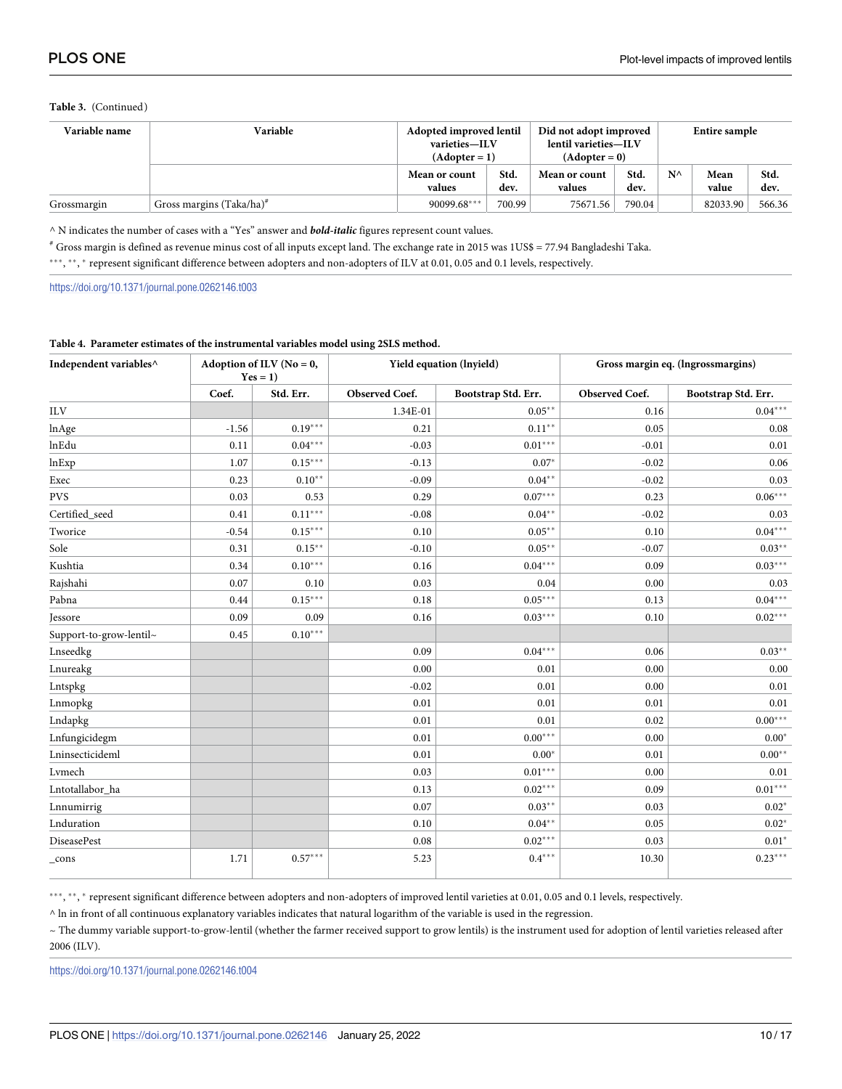#### <span id="page-9-0"></span>Table 3. (Continued)

| Variable name | Variable                      | Did not adopt improved<br>Adopted improved lentil<br>lentil varieties-ILV<br>varieties-ILV<br>$(Adopter = 0)$<br>$(Adopter = 1)$ |              |                         | Entire sample |              |               |              |
|---------------|-------------------------------|----------------------------------------------------------------------------------------------------------------------------------|--------------|-------------------------|---------------|--------------|---------------|--------------|
|               |                               | Mean or count<br>values                                                                                                          | Std.<br>dev. | Mean or count<br>values | Std.<br>dev.  | $N^{\wedge}$ | Mean<br>value | Std.<br>dev. |
| Grossmargin   | Gross margins $(Taka/ha)^{H}$ | 90099.68***                                                                                                                      | 700.99       | 75671.56                | 790.04        |              | 82033.90      | 566.36       |

^ N indicates the number of cases with a "Yes" answer and **bold-italic** figures represent count values.

 $^{\#}$  Gross margin is defined as revenue minus cost of all inputs except land. The exchange rate in 2015 was 1US\$ = 77.94 Bangladeshi Taka.

\*\*\*, \*\*, \* represent significant difference between adopters and non-adopters of ILV at 0.01, 0.05 and 0.1 levels, respectively.

https://doi.org/10.1371/journal.pone.0262146.t003

#### Table 4. Parameter estimates of the instrumental variables model using 2SLS method.

| Independent variables^  |         | Adoption of ILV ( $No = 0$ ,<br>$Yes = 1)$ |                | Yield equation (lnyield) |                | Gross margin eq. (Ingrossmargins) |
|-------------------------|---------|--------------------------------------------|----------------|--------------------------|----------------|-----------------------------------|
|                         | Coef.   | Std. Err.                                  | Observed Coef. | Bootstrap Std. Err.      | Observed Coef. | Bootstrap Std. Err.               |
| <b>ILV</b>              |         |                                            | 1.34E-01       | $0.05***$                | 0.16           | $0.04***$                         |
| lnAge                   | $-1.56$ | $0.19***$                                  | 0.21           | $0.11***$                | 0.05           | 0.08                              |
| lnEdu                   | 0.11    | $0.04***$                                  | $-0.03$        | $0.01***$                | $-0.01$        | 0.01                              |
| lnExp                   | 1.07    | $0.15***$                                  | $-0.13$        | $0.07*$                  | $-0.02$        | 0.06                              |
| Exec                    | 0.23    | $0.10**$                                   | $-0.09$        | $0.04***$                | $-0.02$        | 0.03                              |
| <b>PVS</b>              | 0.03    | 0.53                                       | 0.29           | $0.07***$                | 0.23           | $0.06***$                         |
| Certified_seed          | 0.41    | $0.11***$                                  | $-0.08$        | $0.04***$                | $-0.02$        | 0.03                              |
| Tworice                 | $-0.54$ | $0.15***$                                  | 0.10           | $0.05***$                | 0.10           | $0.04***$                         |
| Sole                    | 0.31    | $0.15***$                                  | $-0.10$        | $0.05***$                | $-0.07$        | $0.03**$                          |
| Kushtia                 | 0.34    | $0.10***$                                  | 0.16           | $0.04***$                | 0.09           | $0.03***$                         |
| Rajshahi                | 0.07    | 0.10                                       | 0.03           | 0.04                     | 0.00           | 0.03                              |
| Pabna                   | 0.44    | $0.15***$                                  | 0.18           | $0.05***$                | 0.13           | $0.04***$                         |
| <b>Jessore</b>          | 0.09    | 0.09                                       | 0.16           | $0.03***$                | 0.10           | $0.02***$                         |
| Support-to-grow-lentil~ | 0.45    | $0.10***$                                  |                |                          |                |                                   |
| Lnseedkg                |         |                                            | 0.09           | $0.04***$                | 0.06           | $0.03**$                          |
| Lnureakg                |         |                                            | 0.00           | 0.01                     | 0.00           | 0.00                              |
| Lntspkg                 |         |                                            | $-0.02$        | 0.01                     | 0.00           | 0.01                              |
| Lnmopkg                 |         |                                            | 0.01           | 0.01                     | 0.01           | 0.01                              |
| Lndapkg                 |         |                                            | 0.01           | 0.01                     | 0.02           | $0.00^{\ast\ast\ast}$             |
| Lnfungicidegm           |         |                                            | 0.01           | $0.00***$                | 0.00           | $0.00*$                           |
| Lninsecticideml         |         |                                            | 0.01           | $0.00*$                  | 0.01           | $0.00**$                          |
| Lymech                  |         |                                            | 0.03           | $0.01***$                | 0.00           | 0.01                              |
| Lntotallabor_ha         |         |                                            | 0.13           | $0.02***$                | 0.09           | $0.01***$                         |
| Lnnumirrig              |         |                                            | 0.07           | $0.03**$                 | 0.03           | $0.02*$                           |
| Lnduration              |         |                                            | 0.10           | $0.04***$                | 0.05           | $0.02*$                           |
| <b>DiseasePest</b>      |         |                                            | 0.08           | $0.02***$                | 0.03           | $0.01*$                           |
| $_{cons}$               | 1.71    | $0.57***$                                  | 5.23           | $0.4***$                 | 10.30          | $0.23***$                         |

\*\*\*,\*\*,\* represent significant difference between adopters and non-adopters of improved lentil varieties at 0.01, 0.05 and 0.1 levels, respectively.

 $\land$  ln in front of all continuous explanatory variables indicates that natural logarithm of the variable is used in the regression.

~ The dummy variable support-to-grow-lentil (whether the farmer received support to grow lentils) is the instrument used for adoption of lentil varieties released after 2006 (ILV).

https://doi.org/10.1371/journal.pone.0262146.t004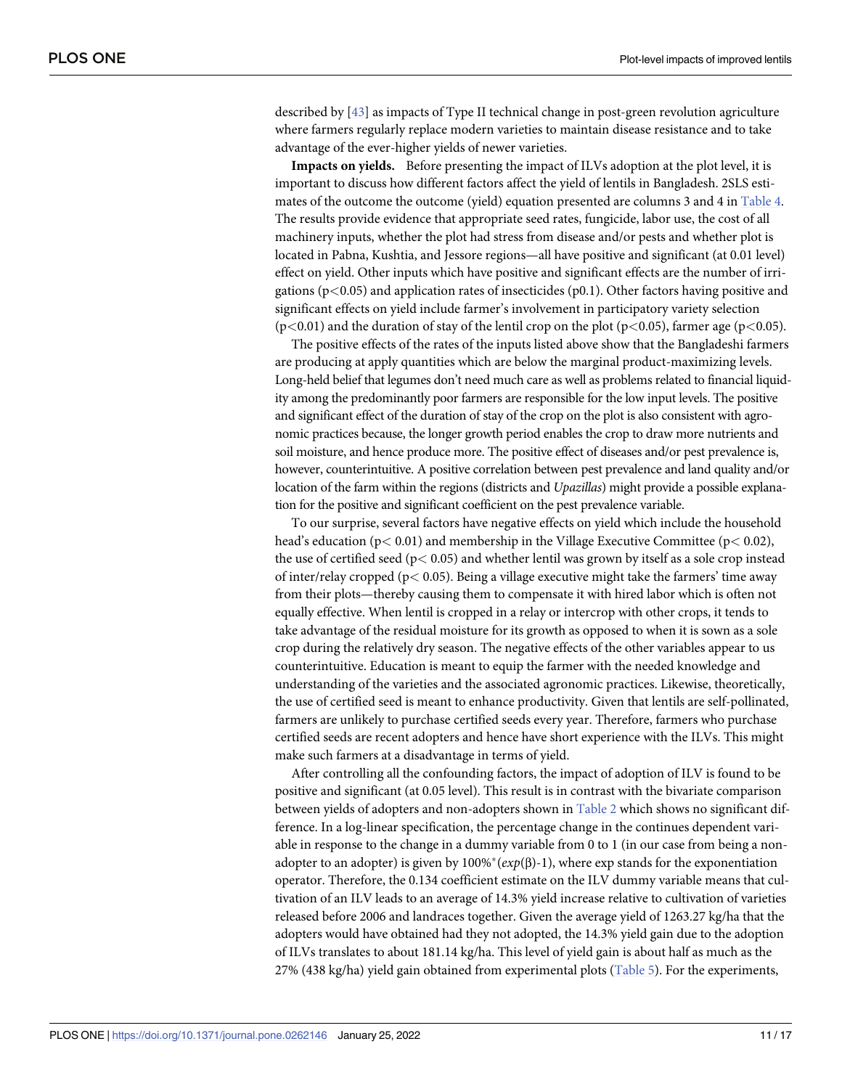<span id="page-10-0"></span>described by [[43](#page-16-0)] as impacts of Type II technical change in post-green revolution agriculture where farmers regularly replace modern varieties to maintain disease resistance and to take advantage of the ever-higher yields of newer varieties.

**Impacts on yields.** Before presenting the impact of ILVs adoption at the plot level, it is important to discuss how different factors affect the yield of lentils in Bangladesh. 2SLS estimates of the outcome the outcome (yield) equation presented are columns 3 and 4 in [Table](#page-9-0) 4. The results provide evidence that appropriate seed rates, fungicide, labor use, the cost of all machinery inputs, whether the plot had stress from disease and/or pests and whether plot is located in Pabna, Kushtia, and Jessore regions—all have positive and significant (at 0.01 level) effect on yield. Other inputs which have positive and significant effects are the number of irrigations (p*<*0.05) and application rates of insecticides (p0.1). Other factors having positive and significant effects on yield include farmer's involvement in participatory variety selection (p*<*0.01) and the duration of stay of the lentil crop on the plot (p*<*0.05), farmer age (p*<*0.05).

The positive effects of the rates of the inputs listed above show that the Bangladeshi farmers are producing at apply quantities which are below the marginal product-maximizing levels. Long-held belief that legumes don't need much care as well as problems related to financial liquidity among the predominantly poor farmers are responsible for the low input levels. The positive and significant effect of the duration of stay of the crop on the plot is also consistent with agronomic practices because, the longer growth period enables the crop to draw more nutrients and soil moisture, and hence produce more. The positive effect of diseases and/or pest prevalence is, however, counterintuitive. A positive correlation between pest prevalence and land quality and/or location of the farm within the regions (districts and *Upazillas*) might provide a possible explanation for the positive and significant coefficient on the pest prevalence variable.

To our surprise, several factors have negative effects on yield which include the household head's education (p*<* 0.01) and membership in the Village Executive Committee (p*<* 0.02), the use of certified seed (p*<* 0.05) and whether lentil was grown by itself as a sole crop instead of inter/relay cropped (p*<* 0.05). Being a village executive might take the farmers' time away from their plots—thereby causing them to compensate it with hired labor which is often not equally effective. When lentil is cropped in a relay or intercrop with other crops, it tends to take advantage of the residual moisture for its growth as opposed to when it is sown as a sole crop during the relatively dry season. The negative effects of the other variables appear to us counterintuitive. Education is meant to equip the farmer with the needed knowledge and understanding of the varieties and the associated agronomic practices. Likewise, theoretically, the use of certified seed is meant to enhance productivity. Given that lentils are self-pollinated, farmers are unlikely to purchase certified seeds every year. Therefore, farmers who purchase certified seeds are recent adopters and hence have short experience with the ILVs. This might make such farmers at a disadvantage in terms of yield.

After controlling all the confounding factors, the impact of adoption of ILV is found to be positive and significant (at 0.05 level). This result is in contrast with the bivariate comparison between yields of adopters and non-adopters shown in [Table](#page-6-0) 2 which shows no significant difference. In a log-linear specification, the percentage change in the continues dependent variable in response to the change in a dummy variable from 0 to 1 (in our case from being a nonadopter to an adopter) is given by  $100\%*(exp(\beta)-1)$ , where exp stands for the exponentiation operator. Therefore, the 0.134 coefficient estimate on the ILV dummy variable means that cultivation of an ILV leads to an average of 14.3% yield increase relative to cultivation of varieties released before 2006 and landraces together. Given the average yield of 1263.27 kg/ha that the adopters would have obtained had they not adopted, the 14.3% yield gain due to the adoption of ILVs translates to about 181.14 kg/ha. This level of yield gain is about half as much as the 27% (438 kg/ha) yield gain obtained from experimental plots ([Table](#page-11-0) 5). For the experiments,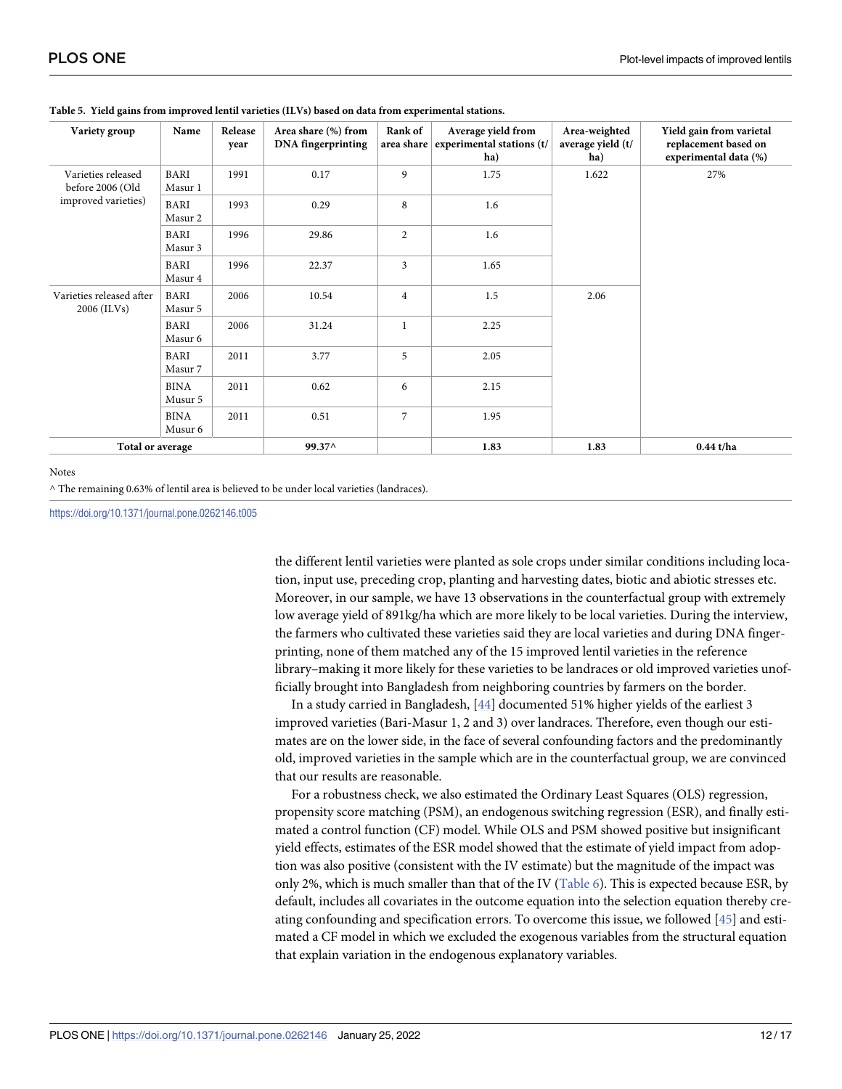| Variety group                             | Name                   | Release<br>year | Area share (%) from<br><b>DNA</b> fingerprinting | Rank of<br>area share | Average yield from<br>experimental stations (t/<br>ha) | Area-weighted<br>average yield (t/<br>ha) | Yield gain from varietal<br>replacement based on<br>experimental data (%) |  |
|-------------------------------------------|------------------------|-----------------|--------------------------------------------------|-----------------------|--------------------------------------------------------|-------------------------------------------|---------------------------------------------------------------------------|--|
| Varieties released<br>before 2006 (Old    | BARI<br>Masur 1        | 1991            | 0.17                                             | 9                     | 1.75                                                   | 1.622                                     | 27%                                                                       |  |
| improved varieties)                       | <b>BARI</b><br>Masur 2 | 1993            | 0.29                                             | 8                     | 1.6                                                    |                                           |                                                                           |  |
|                                           | BARI<br>Masur 3        | 1996            | 29.86                                            | $\overline{2}$        | 1.6                                                    |                                           |                                                                           |  |
|                                           | BARI<br>Masur 4        | 1996            | 22.37                                            | 3                     | 1.65                                                   |                                           |                                                                           |  |
| Varieties released after<br>$2006$ (ILVs) | BARI<br>Masur 5        | 2006            | 10.54                                            | $\overline{4}$        | 1.5                                                    | 2.06                                      |                                                                           |  |
|                                           | <b>BARI</b><br>Masur 6 | 2006            | 31.24                                            | $\mathbf{1}$          | 2.25                                                   |                                           |                                                                           |  |
|                                           | <b>BARI</b><br>Masur 7 | 2011            | 3.77                                             | 5                     | 2.05                                                   |                                           |                                                                           |  |
|                                           | <b>BINA</b><br>Musur 5 | 2011            | 0.62                                             | 6                     | 2.15                                                   |                                           |                                                                           |  |
|                                           | <b>BINA</b><br>Musur 6 | 2011            | 0.51                                             | $\overline{7}$        | 1.95                                                   |                                           |                                                                           |  |
| Total or average                          |                        | 99.37^          |                                                  | 1.83                  | 1.83                                                   | $0.44$ t/ha                               |                                                                           |  |

#### <span id="page-11-0"></span>**[Table](#page-10-0) 5. Yield gains from improved lentil varieties (ILVs) based on data from experimental stations.**

#### Notes

^ The remaining 0.63% of lentil area is believed to be under local varieties (landraces).

<https://doi.org/10.1371/journal.pone.0262146.t005>

the different lentil varieties were planted as sole crops under similar conditions including location, input use, preceding crop, planting and harvesting dates, biotic and abiotic stresses etc. Moreover, in our sample, we have 13 observations in the counterfactual group with extremely low average yield of 891kg/ha which are more likely to be local varieties. During the interview, the farmers who cultivated these varieties said they are local varieties and during DNA fingerprinting, none of them matched any of the 15 improved lentil varieties in the reference library–making it more likely for these varieties to be landraces or old improved varieties unofficially brought into Bangladesh from neighboring countries by farmers on the border.

In a study carried in Bangladesh, [[44](#page-16-0)] documented 51% higher yields of the earliest 3 improved varieties (Bari-Masur 1, 2 and 3) over landraces. Therefore, even though our estimates are on the lower side, in the face of several confounding factors and the predominantly old, improved varieties in the sample which are in the counterfactual group, we are convinced that our results are reasonable.

For a robustness check, we also estimated the Ordinary Least Squares (OLS) regression, propensity score matching (PSM), an endogenous switching regression (ESR), and finally estimated a control function (CF) model. While OLS and PSM showed positive but insignificant yield effects, estimates of the ESR model showed that the estimate of yield impact from adoption was also positive (consistent with the IV estimate) but the magnitude of the impact was only 2%, which is much smaller than that of the IV ([Table](#page-12-0) 6). This is expected because ESR, by default, includes all covariates in the outcome equation into the selection equation thereby creating confounding and specification errors. To overcome this issue, we followed [\[45\]](#page-16-0) and estimated a CF model in which we excluded the exogenous variables from the structural equation that explain variation in the endogenous explanatory variables.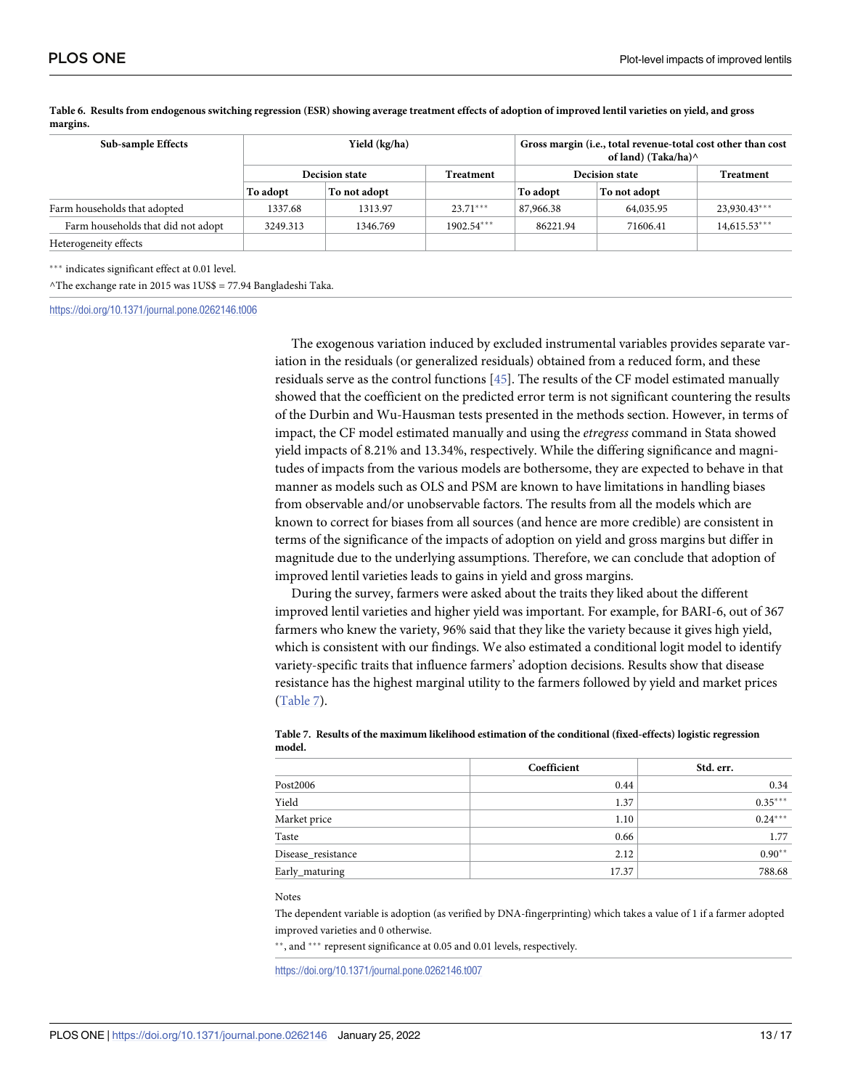| Sub-sample Effects                 |          | Yield (kg/ha)         |                  | Gross margin (i.e., total revenue-total cost other than cost<br>of land) (Taka/ha) $\wedge$ |                  |                |  |
|------------------------------------|----------|-----------------------|------------------|---------------------------------------------------------------------------------------------|------------------|----------------|--|
|                                    |          | <b>Decision state</b> | <b>Treatment</b> | <b>Decision state</b>                                                                       | <b>Treatment</b> |                |  |
|                                    | To adopt | To not adopt          |                  | To adopt                                                                                    | To not adopt     |                |  |
| Farm households that adopted       | 1337.68  | 1313.97               | $23.71***$       | 87,966.38                                                                                   | 64,035.95        | 23,930.43***   |  |
| Farm households that did not adopt | 3249.313 | 1346.769              | $1902.54***$     | 86221.94                                                                                    | 71606.41         | $14,615.53***$ |  |
| Heterogeneity effects              |          |                       |                  |                                                                                             |                  |                |  |
|                                    |          |                       |                  |                                                                                             |                  |                |  |

<span id="page-12-0"></span>[Table](#page-11-0) 6. Results from endogenous switching regression (ESR) showing average treatment effects of adoption of improved lentil varieties on yield, and gross **margins.**

\*\*\* indicates significant effect at 0.01 level.

^The exchange rate in 2015 was 1US\$ = 77.94 Bangladeshi Taka.

<https://doi.org/10.1371/journal.pone.0262146.t006>

The exogenous variation induced by excluded instrumental variables provides separate variation in the residuals (or generalized residuals) obtained from a reduced form, and these residuals serve as the control functions [\[45\]](#page-16-0). The results of the CF model estimated manually showed that the coefficient on the predicted error term is not significant countering the results of the Durbin and Wu-Hausman tests presented in the methods section. However, in terms of impact, the CF model estimated manually and using the *etregress* command in Stata showed yield impacts of 8.21% and 13.34%, respectively. While the differing significance and magnitudes of impacts from the various models are bothersome, they are expected to behave in that manner as models such as OLS and PSM are known to have limitations in handling biases from observable and/or unobservable factors. The results from all the models which are known to correct for biases from all sources (and hence are more credible) are consistent in terms of the significance of the impacts of adoption on yield and gross margins but differ in magnitude due to the underlying assumptions. Therefore, we can conclude that adoption of improved lentil varieties leads to gains in yield and gross margins.

During the survey, farmers were asked about the traits they liked about the different improved lentil varieties and higher yield was important. For example, for BARI-6, out of 367 farmers who knew the variety, 96% said that they like the variety because it gives high yield, which is consistent with our findings. We also estimated a conditional logit model to identify variety-specific traits that influence farmers' adoption decisions. Results show that disease resistance has the highest marginal utility to the farmers followed by yield and market prices (Table 7).

|                    | Coefficient | Std. err. |
|--------------------|-------------|-----------|
| Post2006           | 0.44        | 0.34      |
| Yield              | 1.37        | $0.35***$ |
| Market price       | 1.10        | $0.24***$ |
| Taste              | 0.66        | 1.77      |
| Disease resistance | 2.12        | $0.90**$  |
| Early_maturing     | 17.37       | 788.68    |

**Table 7. Results of the maximum likelihood estimation of the conditional (fixed-effects) logistic regression model.**

#### Notes

The dependent variable is adoption (as verified by DNA-fingerprinting) which takes a value of 1 if a farmer adopted improved varieties and 0 otherwise.

\*\*, and \*\*\* represent significance at 0.05 and 0.01 levels, respectively.

<https://doi.org/10.1371/journal.pone.0262146.t007>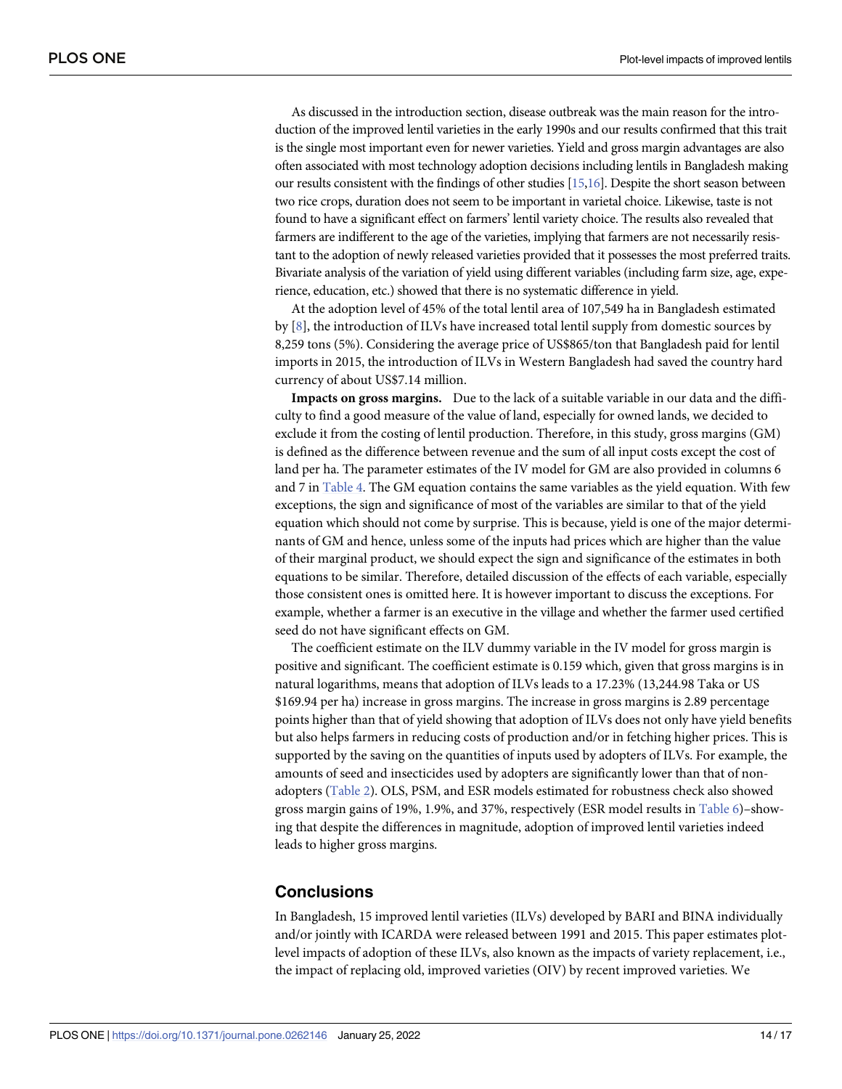<span id="page-13-0"></span>As discussed in the introduction section, disease outbreak was the main reason for the introduction of the improved lentil varieties in the early 1990s and our results confirmed that this trait is the single most important even for newer varieties. Yield and gross margin advantages are also often associated with most technology adoption decisions including lentils in Bangladesh making our results consistent with the findings of other studies [\[15,16](#page-15-0)]. Despite the short season between two rice crops, duration does not seem to be important in varietal choice. Likewise, taste is not found to have a significant effect on farmers' lentil variety choice. The results also revealed that farmers are indifferent to the age of the varieties, implying that farmers are not necessarily resistant to the adoption of newly released varieties provided that it possesses the most preferred traits. Bivariate analysis of the variation of yield using different variables (including farm size, age, experience, education, etc.) showed that there is no systematic difference in yield.

At the adoption level of 45% of the total lentil area of 107,549 ha in Bangladesh estimated by [\[8\]](#page-15-0), the introduction of ILVs have increased total lentil supply from domestic sources by 8,259 tons (5%). Considering the average price of US\$865/ton that Bangladesh paid for lentil imports in 2015, the introduction of ILVs in Western Bangladesh had saved the country hard currency of about US\$7.14 million.

**Impacts on gross margins.** Due to the lack of a suitable variable in our data and the difficulty to find a good measure of the value of land, especially for owned lands, we decided to exclude it from the costing of lentil production. Therefore, in this study, gross margins (GM) is defined as the difference between revenue and the sum of all input costs except the cost of land per ha. The parameter estimates of the IV model for GM are also provided in columns 6 and 7 in [Table](#page-9-0) 4. The GM equation contains the same variables as the yield equation. With few exceptions, the sign and significance of most of the variables are similar to that of the yield equation which should not come by surprise. This is because, yield is one of the major determinants of GM and hence, unless some of the inputs had prices which are higher than the value of their marginal product, we should expect the sign and significance of the estimates in both equations to be similar. Therefore, detailed discussion of the effects of each variable, especially those consistent ones is omitted here. It is however important to discuss the exceptions. For example, whether a farmer is an executive in the village and whether the farmer used certified seed do not have significant effects on GM.

The coefficient estimate on the ILV dummy variable in the IV model for gross margin is positive and significant. The coefficient estimate is 0.159 which, given that gross margins is in natural logarithms, means that adoption of ILVs leads to a 17.23% (13,244.98 Taka or US \$169.94 per ha) increase in gross margins. The increase in gross margins is 2.89 percentage points higher than that of yield showing that adoption of ILVs does not only have yield benefits but also helps farmers in reducing costs of production and/or in fetching higher prices. This is supported by the saving on the quantities of inputs used by adopters of ILVs. For example, the amounts of seed and insecticides used by adopters are significantly lower than that of nonadopters [\(Table](#page-6-0) 2). OLS, PSM, and ESR models estimated for robustness check also showed gross margin gains of 19%, 1.9%, and 37%, respectively (ESR model results in [Table](#page-12-0) 6)–showing that despite the differences in magnitude, adoption of improved lentil varieties indeed leads to higher gross margins.

# **Conclusions**

In Bangladesh, 15 improved lentil varieties (ILVs) developed by BARI and BINA individually and/or jointly with ICARDA were released between 1991 and 2015. This paper estimates plotlevel impacts of adoption of these ILVs, also known as the impacts of variety replacement, i.e., the impact of replacing old, improved varieties (OIV) by recent improved varieties. We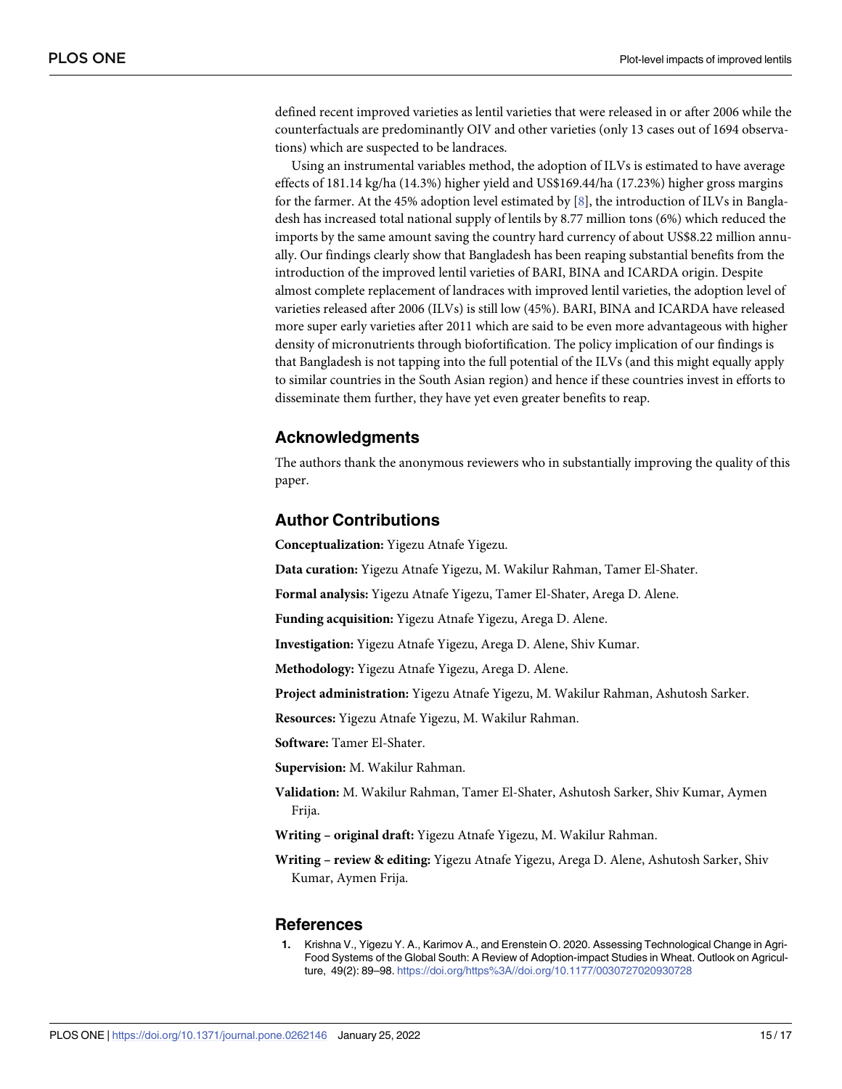<span id="page-14-0"></span>defined recent improved varieties as lentil varieties that were released in or after 2006 while the counterfactuals are predominantly OIV and other varieties (only 13 cases out of 1694 observations) which are suspected to be landraces.

Using an instrumental variables method, the adoption of ILVs is estimated to have average effects of 181.14 kg/ha (14.3%) higher yield and US\$169.44/ha (17.23%) higher gross margins for the farmer. At the 45% adoption level estimated by  $[8]$  $[8]$ , the introduction of ILVs in Bangladesh has increased total national supply of lentils by 8.77 million tons (6%) which reduced the imports by the same amount saving the country hard currency of about US\$8.22 million annually. Our findings clearly show that Bangladesh has been reaping substantial benefits from the introduction of the improved lentil varieties of BARI, BINA and ICARDA origin. Despite almost complete replacement of landraces with improved lentil varieties, the adoption level of varieties released after 2006 (ILVs) is still low (45%). BARI, BINA and ICARDA have released more super early varieties after 2011 which are said to be even more advantageous with higher density of micronutrients through biofortification. The policy implication of our findings is that Bangladesh is not tapping into the full potential of the ILVs (and this might equally apply to similar countries in the South Asian region) and hence if these countries invest in efforts to disseminate them further, they have yet even greater benefits to reap.

## **Acknowledgments**

The authors thank the anonymous reviewers who in substantially improving the quality of this paper.

## **Author Contributions**

**Conceptualization:** Yigezu Atnafe Yigezu.

**Data curation:** Yigezu Atnafe Yigezu, M. Wakilur Rahman, Tamer El-Shater.

**Formal analysis:** Yigezu Atnafe Yigezu, Tamer El-Shater, Arega D. Alene.

**Funding acquisition:** Yigezu Atnafe Yigezu, Arega D. Alene.

**Investigation:** Yigezu Atnafe Yigezu, Arega D. Alene, Shiv Kumar.

**Methodology:** Yigezu Atnafe Yigezu, Arega D. Alene.

**Project administration:** Yigezu Atnafe Yigezu, M. Wakilur Rahman, Ashutosh Sarker.

**Resources:** Yigezu Atnafe Yigezu, M. Wakilur Rahman.

**Software:** Tamer El-Shater.

**Supervision:** M. Wakilur Rahman.

**Validation:** M. Wakilur Rahman, Tamer El-Shater, Ashutosh Sarker, Shiv Kumar, Aymen Frija.

**Writing – original draft:** Yigezu Atnafe Yigezu, M. Wakilur Rahman.

**Writing – review & editing:** Yigezu Atnafe Yigezu, Arega D. Alene, Ashutosh Sarker, Shiv Kumar, Aymen Frija.

#### **References**

**[1](#page-0-0).** Krishna V., Yigezu Y. A., Karimov A., and Erenstein O. 2020. Assessing Technological Change in Agri-Food Systems of the Global South: A Review of Adoption-impact Studies in Wheat. Outlook on Agriculture, 49(2): 89–98. <https://doi.org/https%3A//doi.org/10.1177/0030727020930728>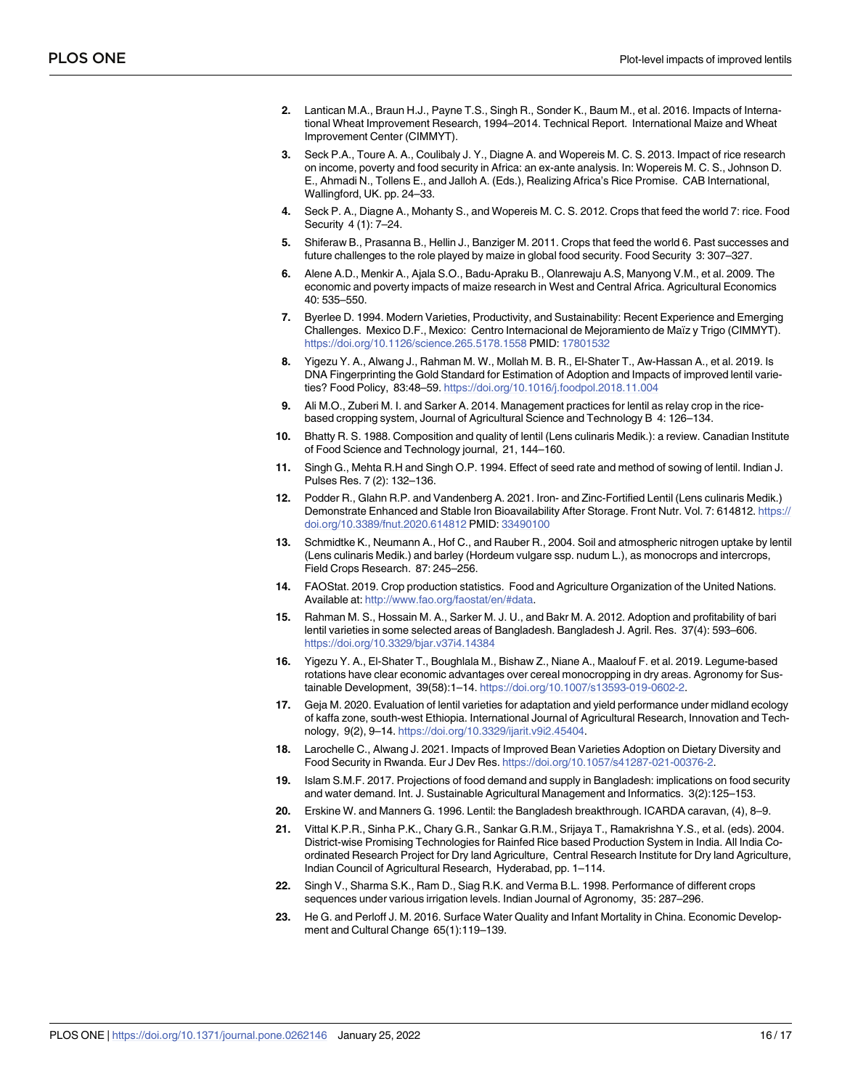- <span id="page-15-0"></span>**2.** Lantican M.A., Braun H.J., Payne T.S., Singh R., Sonder K., Baum M., et al. 2016. Impacts of International Wheat Improvement Research, 1994–2014. Technical Report. International Maize and Wheat Improvement Center (CIMMYT).
- **3.** Seck P.A., Toure A. A., Coulibaly J. Y., Diagne A. and Wopereis M. C. S. 2013. Impact of rice research on income, poverty and food security in Africa: an ex-ante analysis. In: Wopereis M. C. S., Johnson D. E., Ahmadi N., Tollens E., and Jalloh A. (Eds.), Realizing Africa's Rice Promise. CAB International, Wallingford, UK. pp. 24–33.
- **4.** Seck P. A., Diagne A., Mohanty S., and Wopereis M. C. S. 2012. Crops that feed the world 7: rice. Food Security 4 (1): 7–24.
- **5.** Shiferaw B., Prasanna B., Hellin J., Banziger M. 2011. Crops that feed the world 6. Past successes and future challenges to the role played by maize in global food security. Food Security 3: 307–327.
- **6.** Alene A.D., Menkir A., Ajala S.O., Badu-Apraku B., Olanrewaju A.S, Manyong V.M., et al. 2009. The economic and poverty impacts of maize research in West and Central Africa. Agricultural Economics 40: 535–550.
- **[7](#page-0-0).** Byerlee D. 1994. Modern Varieties, Productivity, and Sustainability: Recent Experience and Emerging Challenges. Mexico D.F., Mexico: Centro Internacional de Mejoramiento de Maïz y Trigo (CIMMYT). <https://doi.org/10.1126/science.265.5178.1558> PMID: [17801532](http://www.ncbi.nlm.nih.gov/pubmed/17801532)
- **[8](#page-2-0).** Yigezu Y. A., Alwang J., Rahman M. W., Mollah M. B. R., El-Shater T., Aw-Hassan A., et al. 2019. Is DNA Fingerprinting the Gold Standard for Estimation of Adoption and Impacts of improved lentil varieties? Food Policy, 83:48–59. <https://doi.org/10.1016/j.foodpol.2018.11.004>
- **[9](#page-1-0).** Ali M.O., Zuberi M. I. and Sarker A. 2014. Management practices for lentil as relay crop in the ricebased cropping system, Journal of Agricultural Science and Technology B 4: 126–134.
- **[10](#page-1-0).** Bhatty R. S. 1988. Composition and quality of lentil (Lens culinaris Medik.): a review. Canadian Institute of Food Science and Technology journal, 21, 144–160.
- **11.** Singh G., Mehta R.H and Singh O.P. 1994. Effect of seed rate and method of sowing of lentil. Indian J. Pulses Res. 7 (2): 132–136.
- **[12](#page-1-0).** Podder R., Glahn R.P. and Vandenberg A. 2021. Iron- and Zinc-Fortified Lentil (Lens culinaris Medik.) Demonstrate Enhanced and Stable Iron Bioavailability After Storage. Front Nutr. Vol. 7: 614812. [https://](https://doi.org/10.3389/fnut.2020.614812) [doi.org/10.3389/fnut.2020.614812](https://doi.org/10.3389/fnut.2020.614812) PMID: [33490100](http://www.ncbi.nlm.nih.gov/pubmed/33490100)
- **[13](#page-1-0).** Schmidtke K., Neumann A., Hof C., and Rauber R., 2004. Soil and atmospheric nitrogen uptake by lentil (Lens culinaris Medik.) and barley (Hordeum vulgare ssp. nudum L.), as monocrops and intercrops, Field Crops Research. 87: 245–256.
- **[14](#page-2-0).** FAOStat. 2019. Crop production statistics. Food and Agriculture Organization of the United Nations. Available at: [http://www.fao.org/faostat/en/#data.](http://www.fao.org/faostat/en/#data)
- **[15](#page-1-0).** Rahman M. S., Hossain M. A., Sarker M. J. U., and Bakr M. A. 2012. Adoption and profitability of bari lentil varieties in some selected areas of Bangladesh. Bangladesh J. Agril. Res. 37(4): 593–606. <https://doi.org/10.3329/bjar.v37i4.14384>
- **[16](#page-13-0).** Yigezu Y. A., El-Shater T., Boughlala M., Bishaw Z., Niane A., Maalouf F. et al. 2019. Legume-based rotations have clear economic advantages over cereal monocropping in dry areas. Agronomy for Sustainable Development, 39(58):1–14. <https://doi.org/10.1007/s13593-019-0602-2>.
- **[17](#page-1-0).** Geja M. 2020. Evaluation of lentil varieties for adaptation and yield performance under midland ecology of kaffa zone, south-west Ethiopia. International Journal of Agricultural Research, Innovation and Technology, 9(2), 9–14. <https://doi.org/10.3329/ijarit.v9i2.45404>.
- **[18](#page-1-0).** Larochelle C., Alwang J. 2021. Impacts of Improved Bean Varieties Adoption on Dietary Diversity and Food Security in Rwanda. Eur J Dev Res. [https://doi.org/10.1057/s41287-021-00376-2.](https://doi.org/10.1057/s41287-021-00376-2)
- **[19](#page-2-0).** Islam S.M.F. 2017. Projections of food demand and supply in Bangladesh: implications on food security and water demand. Int. J. Sustainable Agricultural Management and Informatics. 3(2):125–153.
- **[20](#page-2-0).** Erskine W. and Manners G. 1996. Lentil: the Bangladesh breakthrough. ICARDA caravan, (4), 8–9.
- **[21](#page-2-0).** Vittal K.P.R., Sinha P.K., Chary G.R., Sankar G.R.M., Srijaya T., Ramakrishna Y.S., et al. (eds). 2004. District-wise Promising Technologies for Rainfed Rice based Production System in India. All India Coordinated Research Project for Dry land Agriculture, Central Research Institute for Dry land Agriculture, Indian Council of Agricultural Research, Hyderabad, pp. 1–114.
- **[22](#page-2-0).** Singh V., Sharma S.K., Ram D., Siag R.K. and Verma B.L. 1998. Performance of different crops sequences under various irrigation levels. Indian Journal of Agronomy, 35: 287–296.
- **[23](#page-3-0).** He G. and Perloff J. M. 2016. Surface Water Quality and Infant Mortality in China. Economic Development and Cultural Change 65(1):119–139.